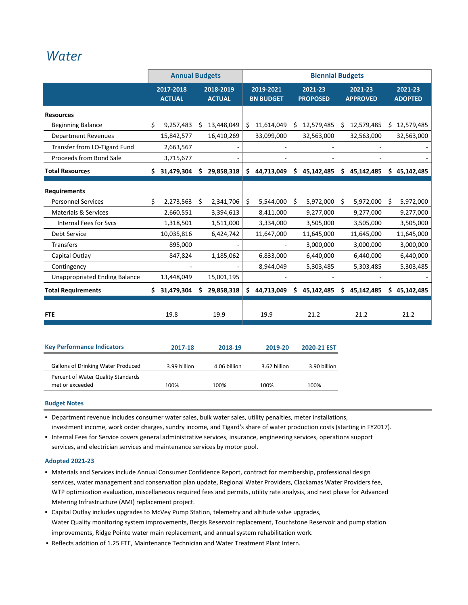### *[Water](http://www.ci.oswego.or.us/publicworks/water)*

|                                           |     | <b>Annual Budgets</b>      |    |                            |    |                               |    | <b>Biennial Budgets</b>    |    |                            |    |                           |
|-------------------------------------------|-----|----------------------------|----|----------------------------|----|-------------------------------|----|----------------------------|----|----------------------------|----|---------------------------|
|                                           |     | 2017-2018<br><b>ACTUAL</b> |    | 2018-2019<br><b>ACTUAL</b> |    | 2019-2021<br><b>BN BUDGET</b> |    | 2021-23<br><b>PROPOSED</b> |    | 2021-23<br><b>APPROVED</b> |    | 2021-23<br><b>ADOPTED</b> |
| <b>Resources</b>                          |     |                            |    |                            |    |                               |    |                            |    |                            |    |                           |
| <b>Beginning Balance</b>                  | Ś.  | 9,257,483                  | Ŝ. | 13,448,049                 | Ś. | 11,614,049                    |    | \$12,579,485               | Ŝ. | 12,579,485                 |    | \$12,579,485              |
| <b>Department Revenues</b>                |     | 15,842,577                 |    | 16,410,269                 |    | 33,099,000                    |    | 32,563,000                 |    | 32,563,000                 |    | 32,563,000                |
| Transfer from LO-Tigard Fund              |     | 2,663,567                  |    |                            |    |                               |    |                            |    |                            |    |                           |
| Proceeds from Bond Sale                   |     | 3,715,677                  |    |                            |    |                               |    |                            |    |                            |    |                           |
| <b>Total Resources</b>                    | Ś.  | 31,479,304                 | \$ | 29,858,318                 | Ś  | 44,713,049                    |    | \$45,142,485               | \$ | 45,142,485                 |    | \$45,142,485              |
| <b>Requirements</b>                       |     |                            |    |                            |    |                               |    |                            |    |                            |    |                           |
| <b>Personnel Services</b>                 | \$. | 2,273,563                  | \$ | 2,341,706                  | \$ | 5,544,000                     | Ŝ. | 5,972,000                  | Ŝ. | 5,972,000                  | Ŝ. | 5,972,000                 |
| <b>Materials &amp; Services</b>           |     | 2,660,551                  |    | 3,394,613                  |    | 8,411,000                     |    | 9,277,000                  |    | 9,277,000                  |    | 9,277,000                 |
| Internal Fees for Svcs                    |     | 1,318,501                  |    | 1,511,000                  |    | 3,334,000                     |    | 3,505,000                  |    | 3,505,000                  |    | 3,505,000                 |
| Debt Service                              |     | 10,035,816                 |    | 6,424,742                  |    | 11,647,000                    |    | 11,645,000                 |    | 11,645,000                 |    | 11,645,000                |
| Transfers                                 |     | 895,000                    |    |                            |    |                               |    | 3,000,000                  |    | 3,000,000                  |    | 3,000,000                 |
| Capital Outlay                            |     | 847,824                    |    | 1,185,062                  |    | 6,833,000                     |    | 6,440,000                  |    | 6,440,000                  |    | 6,440,000                 |
| Contingency                               |     |                            |    |                            |    | 8,944,049                     |    | 5,303,485                  |    | 5,303,485                  |    | 5,303,485                 |
| <b>Unappropriated Ending Balance</b>      |     | 13,448,049                 |    | 15,001,195                 |    |                               |    |                            |    |                            |    |                           |
| <b>Total Requirements</b>                 | \$. | 31,479,304                 | Ś. | 29,858,318                 | Ś  | 44,713,049                    | Ś. | 45,142,485                 | Ś. | 45,142,485                 | \$ | 45,142,485                |
| <b>FTE</b>                                |     | 19.8                       |    | 19.9                       |    | 19.9                          |    | 21.2                       |    | 21.2                       |    | 21.2                      |
| <b>Key Performance Indicators</b>         |     | 2017-18                    |    | 2018-19                    |    | 2019-20                       |    | 2020-21 EST                |    |                            |    |                           |
| <b>Gallons of Drinking Water Produced</b> |     | 3.99 billion               |    | 4.06 billion               |    | 3.62 billion                  |    | 3.90 billion               |    |                            |    |                           |

| <b>Budget Notes</b> |  |
|---------------------|--|

Percent of Water Quality Standards

▪ Department revenue includes consumer water sales, bulk water sales, utility penalties, meter installations, investment income, work order charges, sundry income, and Tigard's share of water production costs (starting in FY2017).

met or exceeded 100% 100% 100% 100% 100% 100%

▪ Internal Fees for Service covers general administrative services, insurance, engineering services, operations support services, and electrician services and maintenance services by motor pool.

#### **Adopted 2021‐23**

- Materials and Services include Annual Consumer Confidence Report, contract for membership, professional design services, water management and conservation plan update, Regional Water Providers, Clackamas Water Providers fee, WTP optimization evaluation, miscellaneous required fees and permits, utility rate analysis, and next phase for Advanced Metering Infrastructure (AMI) replacement project.
- Capital Outlay includes upgrades to McVey Pump Station, telemetry and altitude valve upgrades, Water Quality monitoring system improvements, Bergis Reservoir replacement, Touchstone Reservoir and pump station improvements, Ridge Pointe water main replacement, and annual system rehabilitation work.
- Reflects addition of 1.25 FTE, Maintenance Technician and Water Treatment Plant Intern.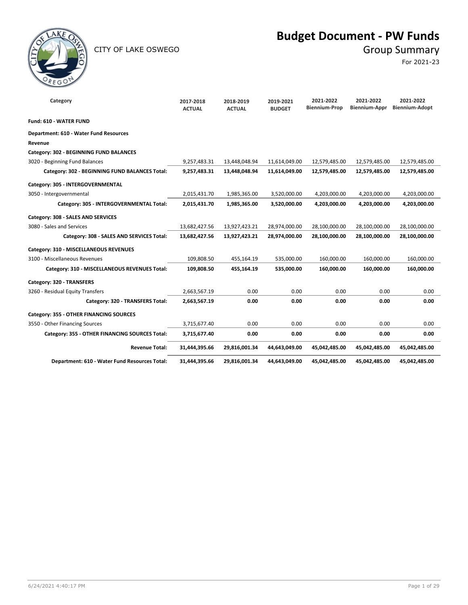

### CITY OF LAKE OSWEGO GROUP SUMMARY

## **Budget Document - PW Funds**

For 2021-23

| Category                                       | 2017-2018<br><b>ACTUAL</b> | 2018-2019<br><b>ACTUAL</b> | 2019-2021<br><b>BUDGET</b> | 2021-2022<br><b>Biennium-Prop</b> | 2021-2022<br>Biennium-Appr | 2021-2022<br>Biennium-Adopt |
|------------------------------------------------|----------------------------|----------------------------|----------------------------|-----------------------------------|----------------------------|-----------------------------|
| Fund: 610 - WATER FUND                         |                            |                            |                            |                                   |                            |                             |
| Department: 610 - Water Fund Resources         |                            |                            |                            |                                   |                            |                             |
| Revenue                                        |                            |                            |                            |                                   |                            |                             |
| Category: 302 - BEGINNING FUND BALANCES        |                            |                            |                            |                                   |                            |                             |
| 3020 - Beginning Fund Balances                 | 9,257,483.31               | 13,448,048.94              | 11,614,049.00              | 12,579,485.00                     | 12,579,485.00              | 12,579,485.00               |
| Category: 302 - BEGINNING FUND BALANCES Total: | 9,257,483.31               | 13,448,048.94              | 11,614,049.00              | 12,579,485.00                     | 12,579,485.00              | 12,579,485.00               |
| Category: 305 - INTERGOVERNMENTAL              |                            |                            |                            |                                   |                            |                             |
| 3050 - Intergovernmental                       | 2,015,431.70               | 1,985,365.00               | 3,520,000.00               | 4,203,000.00                      | 4,203,000.00               | 4,203,000.00                |
| Category: 305 - INTERGOVERNMENTAL Total:       | 2,015,431.70               | 1,985,365.00               | 3,520,000.00               | 4,203,000.00                      | 4,203,000.00               | 4,203,000.00                |
| Category: 308 - SALES AND SERVICES             |                            |                            |                            |                                   |                            |                             |
| 3080 - Sales and Services                      | 13,682,427.56              | 13,927,423.21              | 28,974,000.00              | 28,100,000.00                     | 28,100,000.00              | 28,100,000.00               |
| Category: 308 - SALES AND SERVICES Total:      | 13,682,427.56              | 13,927,423.21              | 28,974,000.00              | 28,100,000.00                     | 28,100,000.00              | 28,100,000.00               |
| Category: 310 - MISCELLANEOUS REVENUES         |                            |                            |                            |                                   |                            |                             |
| 3100 - Miscellaneous Revenues                  | 109,808.50                 | 455,164.19                 | 535,000.00                 | 160,000.00                        | 160,000.00                 | 160,000.00                  |
| Category: 310 - MISCELLANEOUS REVENUES Total:  | 109,808.50                 | 455,164.19                 | 535,000.00                 | 160,000.00                        | 160,000.00                 | 160,000.00                  |
| Category: 320 - TRANSFERS                      |                            |                            |                            |                                   |                            |                             |
| 3260 - Residual Equity Transfers               | 2,663,567.19               | 0.00                       | 0.00                       | 0.00                              | 0.00                       | 0.00                        |
| Category: 320 - TRANSFERS Total:               | 2,663,567.19               | 0.00                       | 0.00                       | 0.00                              | 0.00                       | 0.00                        |
| Category: 355 - OTHER FINANCING SOURCES        |                            |                            |                            |                                   |                            |                             |
| 3550 - Other Financing Sources                 | 3,715,677.40               | 0.00                       | 0.00                       | 0.00                              | 0.00                       | 0.00                        |
| Category: 355 - OTHER FINANCING SOURCES Total: | 3,715,677.40               | 0.00                       | 0.00                       | 0.00                              | 0.00                       | 0.00                        |
| <b>Revenue Total:</b>                          | 31,444,395.66              | 29,816,001.34              | 44,643,049.00              | 45,042,485.00                     | 45,042,485.00              | 45,042,485.00               |
| Department: 610 - Water Fund Resources Total:  | 31,444,395.66              | 29,816,001.34              | 44,643,049.00              | 45,042,485.00                     | 45,042,485.00              | 45,042,485.00               |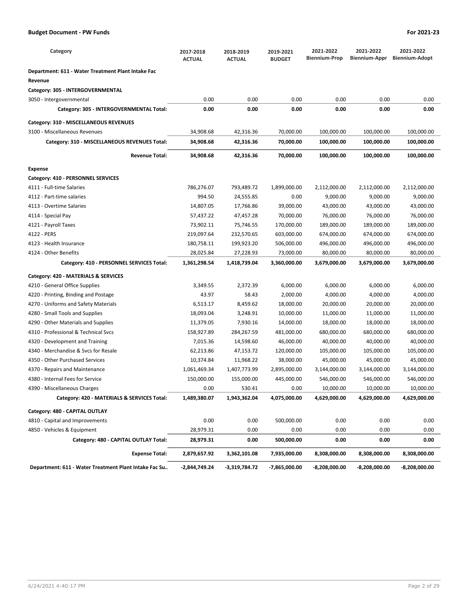| Category                                              | 2017-2018<br><b>ACTUAL</b> | 2018-2019<br><b>ACTUAL</b> | 2019-2021<br><b>BUDGET</b> | 2021-2022<br><b>Biennium-Prop</b> | 2021-2022<br>Biennium-Appr | 2021-2022<br><b>Biennium-Adopt</b> |
|-------------------------------------------------------|----------------------------|----------------------------|----------------------------|-----------------------------------|----------------------------|------------------------------------|
| Department: 611 - Water Treatment Plant Intake Fac    |                            |                            |                            |                                   |                            |                                    |
| Revenue                                               |                            |                            |                            |                                   |                            |                                    |
| Category: 305 - INTERGOVERNMENTAL                     |                            |                            |                            |                                   |                            |                                    |
| 3050 - Intergovernmental                              | 0.00                       | 0.00                       | 0.00                       | 0.00                              | 0.00                       | 0.00                               |
| Category: 305 - INTERGOVERNMENTAL Total:              | 0.00                       | 0.00                       | 0.00                       | 0.00                              | 0.00                       | 0.00                               |
| Category: 310 - MISCELLANEOUS REVENUES                |                            |                            |                            |                                   |                            |                                    |
| 3100 - Miscellaneous Revenues                         | 34,908.68                  | 42,316.36                  | 70,000.00                  | 100,000.00                        | 100,000.00                 | 100,000.00                         |
| Category: 310 - MISCELLANEOUS REVENUES Total:         | 34,908.68                  | 42,316.36                  | 70,000.00                  | 100,000.00                        | 100,000.00                 | 100,000.00                         |
| <b>Revenue Total:</b>                                 | 34,908.68                  | 42,316.36                  | 70,000.00                  | 100,000.00                        | 100,000.00                 | 100,000.00                         |
|                                                       |                            |                            |                            |                                   |                            |                                    |
| Expense<br>Category: 410 - PERSONNEL SERVICES         |                            |                            |                            |                                   |                            |                                    |
| 4111 - Full-time Salaries                             | 786,276.07                 | 793,489.72                 | 1,899,000.00               | 2,112,000.00                      | 2,112,000.00               | 2,112,000.00                       |
| 4112 - Part-time salaries                             | 994.50                     | 24,555.85                  | 0.00                       | 9,000.00                          | 9,000.00                   | 9,000.00                           |
| 4113 - Overtime Salaries                              | 14,807.05                  | 17,766.86                  | 39,000.00                  | 43,000.00                         | 43,000.00                  | 43,000.00                          |
| 4114 - Special Pay                                    | 57,437.22                  | 47,457.28                  | 70,000.00                  | 76,000.00                         | 76,000.00                  | 76,000.00                          |
| 4121 - Payroll Taxes                                  | 73,902.11                  | 75,746.55                  | 170,000.00                 | 189,000.00                        | 189,000.00                 | 189,000.00                         |
| 4122 - PERS                                           | 219,097.64                 | 232,570.65                 | 603,000.00                 | 674,000.00                        | 674,000.00                 | 674,000.00                         |
| 4123 - Health Insurance                               | 180,758.11                 | 199,923.20                 | 506,000.00                 | 496,000.00                        | 496,000.00                 | 496,000.00                         |
| 4124 - Other Benefits                                 | 28,025.84                  | 27,228.93                  | 73,000.00                  | 80,000.00                         | 80,000.00                  | 80,000.00                          |
| Category: 410 - PERSONNEL SERVICES Total:             | 1,361,298.54               | 1,418,739.04               | 3,360,000.00               | 3,679,000.00                      | 3,679,000.00               | 3,679,000.00                       |
| Category: 420 - MATERIALS & SERVICES                  |                            |                            |                            |                                   |                            |                                    |
| 4210 - General Office Supplies                        | 3,349.55                   | 2,372.39                   | 6,000.00                   | 6,000.00                          | 6,000.00                   | 6,000.00                           |
| 4220 - Printing, Binding and Postage                  | 43.97                      | 58.43                      | 2,000.00                   | 4,000.00                          | 4,000.00                   | 4,000.00                           |
| 4270 - Uniforms and Safety Materials                  | 6,513.17                   | 8,459.62                   | 18,000.00                  | 20,000.00                         | 20,000.00                  | 20,000.00                          |
| 4280 - Small Tools and Supplies                       | 18,093.04                  | 3,248.91                   | 10,000.00                  | 11,000.00                         | 11,000.00                  | 11,000.00                          |
| 4290 - Other Materials and Supplies                   | 11,379.05                  | 7,930.16                   | 14,000.00                  | 18,000.00                         | 18,000.00                  | 18,000.00                          |
| 4310 - Professional & Technical Svcs                  | 158,927.89                 | 284,267.59                 | 481,000.00                 | 680,000.00                        | 680,000.00                 | 680,000.00                         |
| 4320 - Development and Training                       | 7,015.36                   | 14,598.60                  | 46,000.00                  | 40,000.00                         | 40,000.00                  | 40,000.00                          |
| 4340 - Merchandise & Svcs for Resale                  | 62,213.86                  | 47,153.72                  | 120,000.00                 | 105,000.00                        | 105,000.00                 | 105,000.00                         |
| 4350 - Other Purchased Services                       | 10,374.84                  | 11,968.22                  | 38,000.00                  | 45,000.00                         | 45,000.00                  | 45,000.00                          |
| 4370<br>- Repairs and Maintenance                     | 1,061,469.34               | 1,407,773.99               | 2,895,000.00               | 3,144,000.00                      | 3,144,000.00               | 3,144,000.00                       |
| 4380 - Internal Fees for Service                      | 150,000.00                 | 155,000.00                 | 445,000.00                 | 546,000.00                        | 546,000.00                 | 546,000.00                         |
| 4390 - Miscellaneous Charges                          | 0.00                       | 530.41                     | 0.00                       | 10,000.00                         | 10,000.00                  | 10,000.00                          |
| Category: 420 - MATERIALS & SERVICES Total:           | 1,489,380.07               | 1,943,362.04               | 4,075,000.00               | 4,629,000.00                      | 4,629,000.00               | 4,629,000.00                       |
| Category: 480 - CAPITAL OUTLAY                        |                            |                            |                            |                                   |                            |                                    |
| 4810 - Capital and Improvements                       | 0.00                       | 0.00                       | 500,000.00                 | 0.00                              | 0.00                       | 0.00                               |
| 4850 - Vehicles & Equipment                           | 28,979.31                  | 0.00                       | 0.00                       | 0.00                              | 0.00                       | 0.00                               |
| Category: 480 - CAPITAL OUTLAY Total:                 | 28,979.31                  | 0.00                       | 500,000.00                 | 0.00                              | 0.00                       | 0.00                               |
| <b>Expense Total:</b>                                 | 2,879,657.92               | 3,362,101.08               | 7,935,000.00               | 8,308,000.00                      | 8,308,000.00               | 8,308,000.00                       |
| Department: 611 - Water Treatment Plant Intake Fac Su | -2,844,749.24              | -3,319,784.72              | -7,865,000.00              | $-8,208,000.00$                   | -8,208,000.00              | -8,208,000.00                      |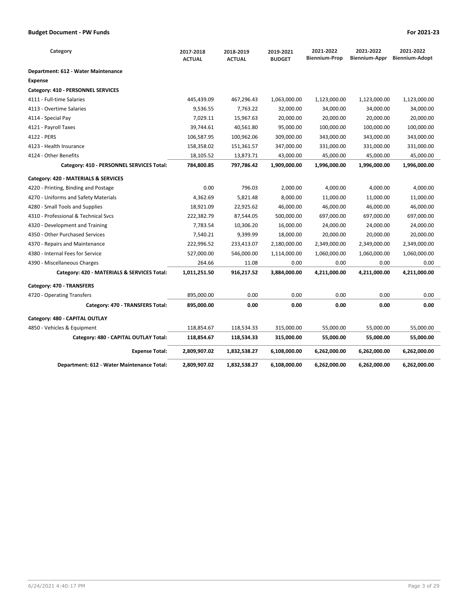| Category                                    | 2017-2018<br><b>ACTUAL</b> | 2018-2019<br><b>ACTUAL</b> | 2019-2021<br><b>BUDGET</b> | 2021-2022<br><b>Biennium-Prop</b> | 2021-2022<br>Biennium-Appr | 2021-2022<br><b>Biennium-Adopt</b> |
|---------------------------------------------|----------------------------|----------------------------|----------------------------|-----------------------------------|----------------------------|------------------------------------|
| Department: 612 - Water Maintenance         |                            |                            |                            |                                   |                            |                                    |
| <b>Expense</b>                              |                            |                            |                            |                                   |                            |                                    |
| Category: 410 - PERSONNEL SERVICES          |                            |                            |                            |                                   |                            |                                    |
| 4111 - Full-time Salaries                   | 445,439.09                 | 467,296.43                 | 1,063,000.00               | 1,123,000.00                      | 1,123,000.00               | 1,123,000.00                       |
| 4113 - Overtime Salaries                    | 9,536.55                   | 7,763.22                   | 32,000.00                  | 34,000.00                         | 34,000.00                  | 34,000.00                          |
| 4114 - Special Pay                          | 7,029.11                   | 15,967.63                  | 20,000.00                  | 20,000.00                         | 20,000.00                  | 20,000.00                          |
| 4121 - Payroll Taxes                        | 39,744.61                  | 40,561.80                  | 95,000.00                  | 100,000.00                        | 100,000.00                 | 100,000.00                         |
| 4122 - PERS                                 | 106,587.95                 | 100,962.06                 | 309,000.00                 | 343,000.00                        | 343,000.00                 | 343,000.00                         |
| 4123 - Health Insurance                     | 158,358.02                 | 151,361.57                 | 347,000.00                 | 331,000.00                        | 331,000.00                 | 331,000.00                         |
| 4124 - Other Benefits                       | 18,105.52                  | 13,873.71                  | 43,000.00                  | 45,000.00                         | 45,000.00                  | 45,000.00                          |
| Category: 410 - PERSONNEL SERVICES Total:   | 784,800.85                 | 797,786.42                 | 1,909,000.00               | 1,996,000.00                      | 1,996,000.00               | 1,996,000.00                       |
| Category: 420 - MATERIALS & SERVICES        |                            |                            |                            |                                   |                            |                                    |
| 4220 - Printing, Binding and Postage        | 0.00                       | 796.03                     | 2,000.00                   | 4,000.00                          | 4,000.00                   | 4,000.00                           |
| 4270 - Uniforms and Safety Materials        | 4,362.69                   | 5,821.48                   | 8,000.00                   | 11,000.00                         | 11,000.00                  | 11,000.00                          |
| 4280 - Small Tools and Supplies             | 18,921.09                  | 22,925.62                  | 46,000.00                  | 46,000.00                         | 46,000.00                  | 46,000.00                          |
| 4310 - Professional & Technical Svcs        | 222,382.79                 | 87,544.05                  | 500,000.00                 | 697,000.00                        | 697,000.00                 | 697,000.00                         |
| 4320 - Development and Training             | 7,783.54                   | 10,306.20                  | 16,000.00                  | 24,000.00                         | 24,000.00                  | 24,000.00                          |
| 4350 - Other Purchased Services             | 7,540.21                   | 9,399.99                   | 18,000.00                  | 20,000.00                         | 20,000.00                  | 20,000.00                          |
| 4370 - Repairs and Maintenance              | 222,996.52                 | 233,413.07                 | 2,180,000.00               | 2,349,000.00                      | 2,349,000.00               | 2,349,000.00                       |
| 4380 - Internal Fees for Service            | 527,000.00                 | 546,000.00                 | 1,114,000.00               | 1,060,000.00                      | 1,060,000.00               | 1,060,000.00                       |
| 4390 - Miscellaneous Charges                | 264.66                     | 11.08                      | 0.00                       | 0.00                              | 0.00                       | 0.00                               |
| Category: 420 - MATERIALS & SERVICES Total: | 1,011,251.50               | 916,217.52                 | 3,884,000.00               | 4,211,000.00                      | 4,211,000.00               | 4,211,000.00                       |
| Category: 470 - TRANSFERS                   |                            |                            |                            |                                   |                            |                                    |
| 4720 - Operating Transfers                  | 895,000.00                 | 0.00                       | 0.00                       | 0.00                              | 0.00                       | 0.00                               |
| Category: 470 - TRANSFERS Total:            | 895,000.00                 | 0.00                       | 0.00                       | 0.00                              | 0.00                       | 0.00                               |
| Category: 480 - CAPITAL OUTLAY              |                            |                            |                            |                                   |                            |                                    |
| 4850 - Vehicles & Equipment                 | 118,854.67                 | 118,534.33                 | 315,000.00                 | 55,000.00                         | 55,000.00                  | 55,000.00                          |
| Category: 480 - CAPITAL OUTLAY Total:       | 118,854.67                 | 118,534.33                 | 315,000.00                 | 55,000.00                         | 55,000.00                  | 55,000.00                          |
| <b>Expense Total:</b>                       | 2,809,907.02               | 1,832,538.27               | 6,108,000.00               | 6,262,000.00                      | 6,262,000.00               | 6,262,000.00                       |
| Department: 612 - Water Maintenance Total:  | 2,809,907.02               | 1,832,538.27               | 6,108,000.00               | 6,262,000.00                      | 6,262,000.00               | 6,262,000.00                       |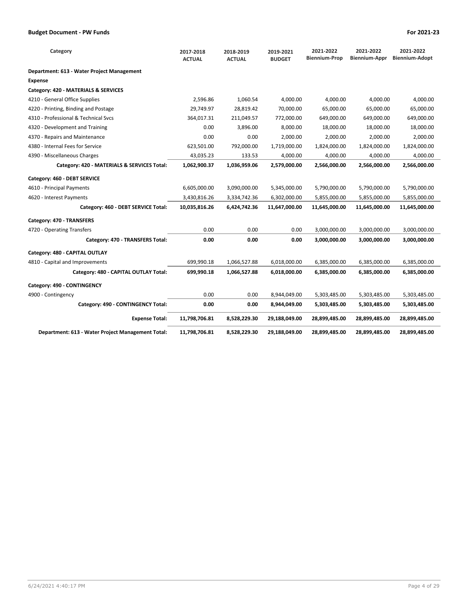| Category                                          | 2017-2018<br><b>ACTUAL</b> | 2018-2019<br><b>ACTUAL</b> | 2019-2021<br><b>BUDGET</b> | 2021-2022<br><b>Biennium-Prop</b> | 2021-2022<br>Biennium-Appr | 2021-2022<br><b>Biennium-Adopt</b> |
|---------------------------------------------------|----------------------------|----------------------------|----------------------------|-----------------------------------|----------------------------|------------------------------------|
| Department: 613 - Water Project Management        |                            |                            |                            |                                   |                            |                                    |
| <b>Expense</b>                                    |                            |                            |                            |                                   |                            |                                    |
| Category: 420 - MATERIALS & SERVICES              |                            |                            |                            |                                   |                            |                                    |
| 4210 - General Office Supplies                    | 2,596.86                   | 1,060.54                   | 4,000.00                   | 4,000.00                          | 4,000.00                   | 4,000.00                           |
| 4220 - Printing, Binding and Postage              | 29,749.97                  | 28,819.42                  | 70,000.00                  | 65,000.00                         | 65,000.00                  | 65,000.00                          |
| 4310 - Professional & Technical Svcs              | 364,017.31                 | 211,049.57                 | 772,000.00                 | 649,000.00                        | 649,000.00                 | 649,000.00                         |
| 4320 - Development and Training                   | 0.00                       | 3.896.00                   | 8.000.00                   | 18,000.00                         | 18,000.00                  | 18,000.00                          |
| 4370 - Repairs and Maintenance                    | 0.00                       | 0.00                       | 2,000.00                   | 2,000.00                          | 2,000.00                   | 2,000.00                           |
| 4380 - Internal Fees for Service                  | 623,501.00                 | 792,000.00                 | 1,719,000.00               | 1,824,000.00                      | 1,824,000.00               | 1,824,000.00                       |
| 4390 - Miscellaneous Charges                      | 43,035.23                  | 133.53                     | 4,000.00                   | 4,000.00                          | 4,000.00                   | 4,000.00                           |
| Category: 420 - MATERIALS & SERVICES Total:       | 1,062,900.37               | 1,036,959.06               | 2,579,000.00               | 2,566,000.00                      | 2,566,000.00               | 2,566,000.00                       |
| Category: 460 - DEBT SERVICE                      |                            |                            |                            |                                   |                            |                                    |
| 4610 - Principal Payments                         | 6,605,000.00               | 3,090,000.00               | 5,345,000.00               | 5,790,000.00                      | 5,790,000.00               | 5,790,000.00                       |
| 4620 - Interest Payments                          | 3,430,816.26               | 3,334,742.36               | 6,302,000.00               | 5,855,000.00                      | 5,855,000.00               | 5,855,000.00                       |
| Category: 460 - DEBT SERVICE Total:               | 10,035,816.26              | 6,424,742.36               | 11,647,000.00              | 11,645,000.00                     | 11,645,000.00              | 11,645,000.00                      |
| Category: 470 - TRANSFERS                         |                            |                            |                            |                                   |                            |                                    |
| 4720 - Operating Transfers                        | 0.00                       | 0.00                       | 0.00                       | 3,000,000.00                      | 3,000,000.00               | 3,000,000.00                       |
| Category: 470 - TRANSFERS Total:                  | 0.00                       | 0.00                       | 0.00                       | 3,000,000.00                      | 3,000,000.00               | 3,000,000.00                       |
| Category: 480 - CAPITAL OUTLAY                    |                            |                            |                            |                                   |                            |                                    |
| 4810 - Capital and Improvements                   | 699,990.18                 | 1,066,527.88               | 6,018,000.00               | 6,385,000.00                      | 6,385,000.00               | 6,385,000.00                       |
| Category: 480 - CAPITAL OUTLAY Total:             | 699,990.18                 | 1,066,527.88               | 6,018,000.00               | 6,385,000.00                      | 6,385,000.00               | 6,385,000.00                       |
| Category: 490 - CONTINGENCY                       |                            |                            |                            |                                   |                            |                                    |
| 4900 - Contingency                                | 0.00                       | 0.00                       | 8,944,049.00               | 5,303,485.00                      | 5,303,485.00               | 5,303,485.00                       |
| Category: 490 - CONTINGENCY Total:                | 0.00                       | 0.00                       | 8,944,049.00               | 5,303,485.00                      | 5,303,485.00               | 5,303,485.00                       |
| <b>Expense Total:</b>                             | 11,798,706.81              | 8,528,229.30               | 29,188,049.00              | 28,899,485.00                     | 28,899,485.00              | 28,899,485.00                      |
| Department: 613 - Water Project Management Total: | 11,798,706.81              | 8,528,229.30               | 29,188,049.00              | 28,899,485.00                     | 28,899,485.00              | 28,899,485.00                      |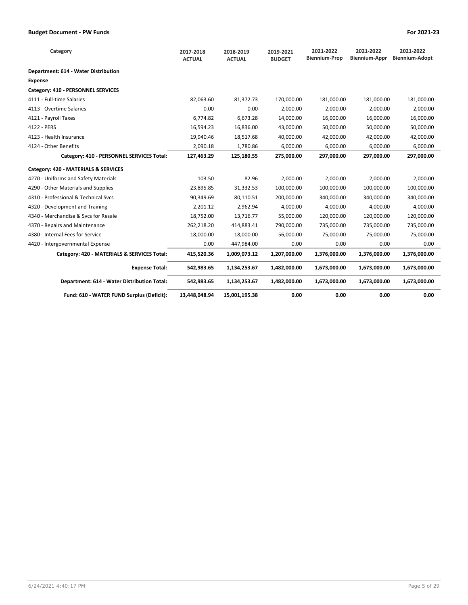| Category                                    | 2017-2018<br><b>ACTUAL</b> | 2018-2019<br><b>ACTUAL</b> | 2019-2021<br><b>BUDGET</b> | 2021-2022<br><b>Biennium-Prop</b> | 2021-2022<br>Biennium-Appr | 2021-2022<br><b>Biennium-Adopt</b> |
|---------------------------------------------|----------------------------|----------------------------|----------------------------|-----------------------------------|----------------------------|------------------------------------|
| Department: 614 - Water Distribution        |                            |                            |                            |                                   |                            |                                    |
| <b>Expense</b>                              |                            |                            |                            |                                   |                            |                                    |
| Category: 410 - PERSONNEL SERVICES          |                            |                            |                            |                                   |                            |                                    |
| 4111 - Full-time Salaries                   | 82,063.60                  | 81,372.73                  | 170,000.00                 | 181,000.00                        | 181,000.00                 | 181,000.00                         |
| 4113 - Overtime Salaries                    | 0.00                       | 0.00                       | 2,000.00                   | 2,000.00                          | 2,000.00                   | 2,000.00                           |
| 4121 - Payroll Taxes                        | 6,774.82                   | 6,673.28                   | 14,000.00                  | 16,000.00                         | 16,000.00                  | 16,000.00                          |
| 4122 - PERS                                 | 16,594.23                  | 16,836.00                  | 43,000.00                  | 50,000.00                         | 50,000.00                  | 50,000.00                          |
| 4123 - Health Insurance                     | 19,940.46                  | 18,517.68                  | 40,000.00                  | 42,000.00                         | 42,000.00                  | 42,000.00                          |
| 4124 - Other Benefits                       | 2,090.18                   | 1,780.86                   | 6,000.00                   | 6,000.00                          | 6,000.00                   | 6,000.00                           |
| Category: 410 - PERSONNEL SERVICES Total:   | 127,463.29                 | 125,180.55                 | 275,000.00                 | 297,000.00                        | 297,000.00                 | 297,000.00                         |
| Category: 420 - MATERIALS & SERVICES        |                            |                            |                            |                                   |                            |                                    |
| 4270 - Uniforms and Safety Materials        | 103.50                     | 82.96                      | 2,000.00                   | 2,000.00                          | 2,000.00                   | 2,000.00                           |
| 4290 - Other Materials and Supplies         | 23,895.85                  | 31,332.53                  | 100,000.00                 | 100,000.00                        | 100,000.00                 | 100,000.00                         |
| 4310 - Professional & Technical Sycs        | 90,349.69                  | 80,110.51                  | 200,000.00                 | 340,000.00                        | 340,000.00                 | 340,000.00                         |
| 4320 - Development and Training             | 2,201.12                   | 2,962.94                   | 4,000.00                   | 4,000.00                          | 4,000.00                   | 4,000.00                           |
| 4340 - Merchandise & Sycs for Resale        | 18,752.00                  | 13,716.77                  | 55,000.00                  | 120,000.00                        | 120,000.00                 | 120,000.00                         |
| 4370 - Repairs and Maintenance              | 262,218.20                 | 414,883.41                 | 790,000.00                 | 735,000.00                        | 735,000.00                 | 735,000.00                         |
| 4380 - Internal Fees for Service            | 18,000.00                  | 18,000.00                  | 56,000.00                  | 75,000.00                         | 75,000.00                  | 75,000.00                          |
| 4420 - Intergovernmental Expense            | 0.00                       | 447,984.00                 | 0.00                       | 0.00                              | 0.00                       | 0.00                               |
| Category: 420 - MATERIALS & SERVICES Total: | 415,520.36                 | 1,009,073.12               | 1,207,000.00               | 1,376,000.00                      | 1,376,000.00               | 1,376,000.00                       |
| <b>Expense Total:</b>                       | 542,983.65                 | 1,134,253.67               | 1,482,000.00               | 1,673,000.00                      | 1,673,000.00               | 1,673,000.00                       |
| Department: 614 - Water Distribution Total: | 542,983.65                 | 1,134,253.67               | 1,482,000.00               | 1,673,000.00                      | 1,673,000.00               | 1,673,000.00                       |
| Fund: 610 - WATER FUND Surplus (Deficit):   | 13,448,048.94              | 15,001,195.38              | 0.00                       | 0.00                              | 0.00                       | 0.00                               |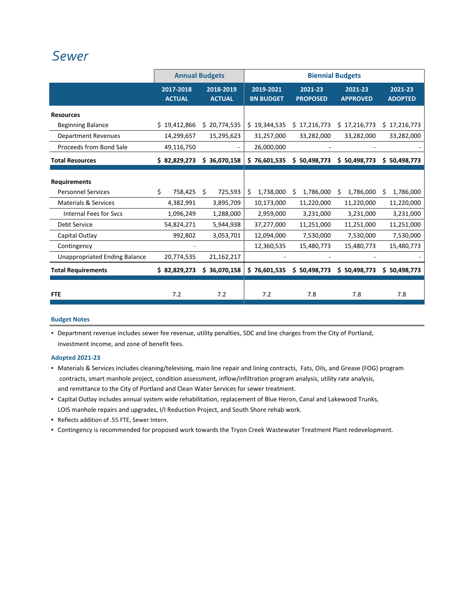## *[Sewer](http://www.ci.oswego.or.us/publicworks/sewer)*

|                                      |                            | <b>Annual Budgets</b>      |                               |                            | <b>Biennial Budgets</b>    |                           |
|--------------------------------------|----------------------------|----------------------------|-------------------------------|----------------------------|----------------------------|---------------------------|
|                                      | 2017-2018<br><b>ACTUAL</b> | 2018-2019<br><b>ACTUAL</b> | 2019-2021<br><b>BN BUDGET</b> | 2021-23<br><b>PROPOSED</b> | 2021-23<br><b>APPROVED</b> | 2021-23<br><b>ADOPTED</b> |
| <b>Resources</b>                     |                            |                            |                               |                            |                            |                           |
| <b>Beginning Balance</b>             | \$19,412,866               | \$20,774,535               | \$19,344,535                  | \$17,216,773               | \$17,216,773               | \$17,216,773              |
| <b>Department Revenues</b>           | 14,299,657                 | 15,295,623                 | 31,257,000                    | 33,282,000                 | 33,282,000                 | 33,282,000                |
| Proceeds from Bond Sale              | 49,116,750                 |                            | 26,000,000                    |                            |                            |                           |
| <b>Total Resources</b>               | \$ 82,829,273              | \$36,070,158               | \$76,601,535                  | \$50,498,773               | \$50,498,773               | \$50,498,773              |
| <b>Requirements</b>                  |                            |                            |                               |                            |                            |                           |
| <b>Personnel Services</b>            | Ś.<br>758,425              | Ŝ.<br>725,593              | 1,738,000<br>\$               | 1,786,000<br>Ŝ.            | 1,786,000<br>S             | Ŝ.<br>1,786,000           |
| <b>Materials &amp; Services</b>      | 4,382,991                  | 3,895,709                  | 10,173,000                    | 11,220,000                 | 11,220,000                 | 11,220,000                |
| <b>Internal Fees for Svcs</b>        | 1,096,249                  | 1,288,000                  | 2,959,000                     | 3,231,000                  | 3,231,000                  | 3,231,000                 |
| Debt Service                         | 54,824,271                 | 5,944,938                  | 37,277,000                    | 11,251,000                 | 11,251,000                 | 11,251,000                |
| Capital Outlay                       | 992,802                    | 3,053,701                  | 12,094,000                    | 7,530,000                  | 7,530,000                  | 7,530,000                 |
| Contingency                          |                            |                            | 12,360,535                    | 15,480,773                 | 15,480,773                 | 15,480,773                |
| <b>Unappropriated Ending Balance</b> | 20,774,535                 | 21,162,217                 |                               |                            |                            |                           |
| <b>Total Requirements</b>            | \$ 82,829,273              | \$36,070,158               | \$76,601,535                  | \$50,498,773               | \$50,498,773               | \$50,498,773              |
| <b>FTE</b>                           | 7.2                        | 7.2                        | 7.2                           | 7.8                        | 7.8                        | 7.8                       |

#### **Budget Notes**

▪ Department revenue includes sewer fee revenue, utility penalties, SDC and line charges from the City of Portland, investment income, and zone of benefit fees.

#### **Adopted 2021‐23**

- Materials & Services includes cleaning/televising, main line repair and lining contracts, Fats, Oils, and Grease (FOG) program contracts, smart manhole project, condition assessment, inflow/infiltration program analysis, utility rate analysis, and remittance to the City of Portland and Clean Water Services for sewer treatment.
- Capital Outlay includes annual system wide rehabilitation, replacement of Blue Heron, Canal and Lakewood Trunks, LOIS manhole repairs and upgrades, I/I Reduction Project, and South Shore rehab work.
- Reflects addition of .55 FTE, Sewer Intern.
- Contingency is recommended for proposed work towards the Tryon Creek Wastewater Treatment Plant redevelopment.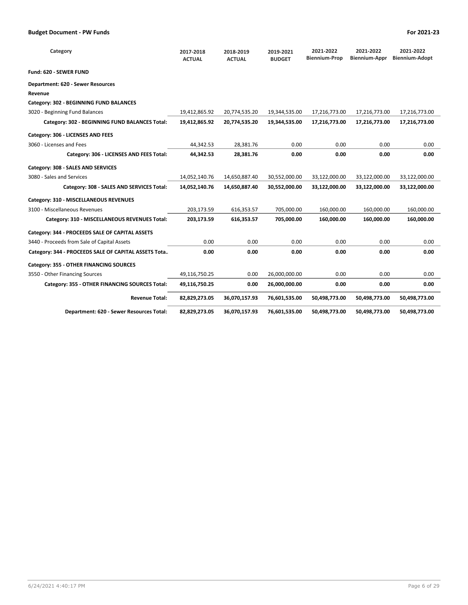| Category                                             | 2017-2018<br><b>ACTUAL</b> | 2018-2019<br><b>ACTUAL</b> | 2019-2021<br><b>BUDGET</b> | 2021-2022<br><b>Biennium-Prop</b> | 2021-2022<br>Biennium-Appr | 2021-2022<br>Biennium-Adopt |
|------------------------------------------------------|----------------------------|----------------------------|----------------------------|-----------------------------------|----------------------------|-----------------------------|
| <b>Fund: 620 - SEWER FUND</b>                        |                            |                            |                            |                                   |                            |                             |
| Department: 620 - Sewer Resources                    |                            |                            |                            |                                   |                            |                             |
| Revenue                                              |                            |                            |                            |                                   |                            |                             |
| Category: 302 - BEGINNING FUND BALANCES              |                            |                            |                            |                                   |                            |                             |
| 3020 - Beginning Fund Balances                       | 19,412,865.92              | 20,774,535.20              | 19,344,535.00              | 17,216,773.00                     | 17,216,773.00              | 17,216,773.00               |
| Category: 302 - BEGINNING FUND BALANCES Total:       | 19,412,865.92              | 20,774,535.20              | 19,344,535.00              | 17,216,773.00                     | 17,216,773.00              | 17,216,773.00               |
| Category: 306 - LICENSES AND FEES                    |                            |                            |                            |                                   |                            |                             |
| 3060 - Licenses and Fees                             | 44,342.53                  | 28,381.76                  | 0.00                       | 0.00                              | 0.00                       | 0.00                        |
| Category: 306 - LICENSES AND FEES Total:             | 44,342.53                  | 28,381.76                  | 0.00                       | 0.00                              | 0.00                       | 0.00                        |
| Category: 308 - SALES AND SERVICES                   |                            |                            |                            |                                   |                            |                             |
| 3080 - Sales and Services                            | 14,052,140.76              | 14,650,887.40              | 30,552,000.00              | 33,122,000.00                     | 33,122,000.00              | 33,122,000.00               |
| Category: 308 - SALES AND SERVICES Total:            | 14,052,140.76              | 14,650,887.40              | 30,552,000.00              | 33,122,000.00                     | 33,122,000.00              | 33,122,000.00               |
| Category: 310 - MISCELLANEOUS REVENUES               |                            |                            |                            |                                   |                            |                             |
| 3100 - Miscellaneous Revenues                        | 203,173.59                 | 616,353.57                 | 705,000.00                 | 160,000.00                        | 160,000.00                 | 160,000.00                  |
| Category: 310 - MISCELLANEOUS REVENUES Total:        | 203,173.59                 | 616,353.57                 | 705,000.00                 | 160,000.00                        | 160,000.00                 | 160,000.00                  |
| Category: 344 - PROCEEDS SALE OF CAPITAL ASSETS      |                            |                            |                            |                                   |                            |                             |
| 3440 - Proceeds from Sale of Capital Assets          | 0.00                       | 0.00                       | 0.00                       | 0.00                              | 0.00                       | 0.00                        |
| Category: 344 - PROCEEDS SALE OF CAPITAL ASSETS Tota | 0.00                       | 0.00                       | 0.00                       | 0.00                              | 0.00                       | 0.00                        |
| Category: 355 - OTHER FINANCING SOURCES              |                            |                            |                            |                                   |                            |                             |
| 3550 - Other Financing Sources                       | 49,116,750.25              | 0.00                       | 26,000,000.00              | 0.00                              | 0.00                       | 0.00                        |
| Category: 355 - OTHER FINANCING SOURCES Total:       | 49,116,750.25              | 0.00                       | 26,000,000.00              | 0.00                              | 0.00                       | 0.00                        |
| <b>Revenue Total:</b>                                | 82,829,273.05              | 36,070,157.93              | 76,601,535.00              | 50,498,773.00                     | 50,498,773.00              | 50,498,773.00               |
| Department: 620 - Sewer Resources Total:             | 82,829,273.05              | 36,070,157.93              | 76,601,535.00              | 50,498,773.00                     | 50,498,773.00              | 50,498,773.00               |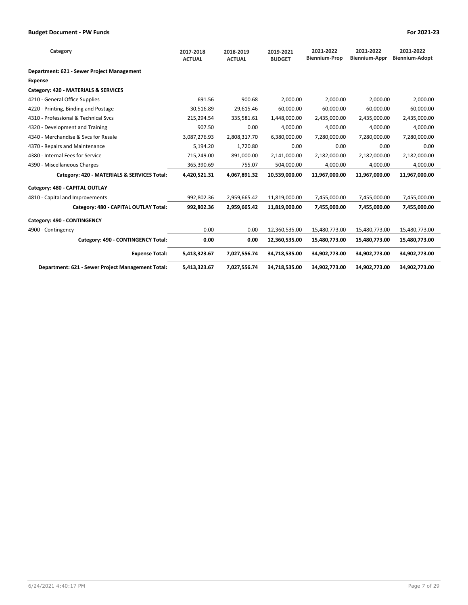| Category                                          | 2017-2018<br><b>ACTUAL</b> | 2018-2019<br><b>ACTUAL</b> | 2019-2021<br><b>BUDGET</b> | 2021-2022<br><b>Biennium-Prop</b> | 2021-2022<br><b>Biennium-Appr</b> | 2021-2022<br><b>Biennium-Adopt</b> |
|---------------------------------------------------|----------------------------|----------------------------|----------------------------|-----------------------------------|-----------------------------------|------------------------------------|
| Department: 621 - Sewer Project Management        |                            |                            |                            |                                   |                                   |                                    |
| <b>Expense</b>                                    |                            |                            |                            |                                   |                                   |                                    |
| Category: 420 - MATERIALS & SERVICES              |                            |                            |                            |                                   |                                   |                                    |
| 4210 - General Office Supplies                    | 691.56                     | 900.68                     | 2.000.00                   | 2,000.00                          | 2,000.00                          | 2,000.00                           |
| 4220 - Printing, Binding and Postage              | 30,516.89                  | 29,615.46                  | 60,000.00                  | 60,000.00                         | 60,000.00                         | 60,000.00                          |
| 4310 - Professional & Technical Svcs              | 215,294.54                 | 335,581.61                 | 1,448,000.00               | 2,435,000.00                      | 2,435,000.00                      | 2,435,000.00                       |
| 4320 - Development and Training                   | 907.50                     | 0.00                       | 4.000.00                   | 4.000.00                          | 4.000.00                          | 4.000.00                           |
| 4340 - Merchandise & Svcs for Resale              | 3,087,276.93               | 2,808,317.70               | 6,380,000.00               | 7,280,000.00                      | 7,280,000.00                      | 7,280,000.00                       |
| 4370 - Repairs and Maintenance                    | 5,194.20                   | 1,720.80                   | 0.00                       | 0.00                              | 0.00                              | 0.00                               |
| 4380 - Internal Fees for Service                  | 715,249.00                 | 891,000.00                 | 2,141,000.00               | 2,182,000.00                      | 2,182,000.00                      | 2,182,000.00                       |
| 4390 - Miscellaneous Charges                      | 365,390.69                 | 755.07                     | 504,000.00                 | 4,000.00                          | 4,000.00                          | 4,000.00                           |
| Category: 420 - MATERIALS & SERVICES Total:       | 4,420,521.31               | 4,067,891.32               | 10,539,000.00              | 11,967,000.00                     | 11,967,000.00                     | 11,967,000.00                      |
| Category: 480 - CAPITAL OUTLAY                    |                            |                            |                            |                                   |                                   |                                    |
| 4810 - Capital and Improvements                   | 992,802.36                 | 2,959,665.42               | 11,819,000.00              | 7,455,000.00                      | 7,455,000.00                      | 7,455,000.00                       |
| Category: 480 - CAPITAL OUTLAY Total:             | 992,802.36                 | 2,959,665.42               | 11,819,000.00              | 7,455,000.00                      | 7,455,000.00                      | 7,455,000.00                       |
| Category: 490 - CONTINGENCY                       |                            |                            |                            |                                   |                                   |                                    |
| 4900 - Contingency                                | 0.00                       | 0.00                       | 12,360,535.00              | 15,480,773.00                     | 15,480,773.00                     | 15,480,773.00                      |
| Category: 490 - CONTINGENCY Total:                | 0.00                       | 0.00                       | 12,360,535.00              | 15,480,773.00                     | 15,480,773.00                     | 15,480,773.00                      |
| <b>Expense Total:</b>                             | 5,413,323.67               | 7,027,556.74               | 34,718,535.00              | 34,902,773.00                     | 34,902,773.00                     | 34,902,773.00                      |
| Department: 621 - Sewer Project Management Total: | 5,413,323.67               | 7,027,556.74               | 34,718,535.00              | 34,902,773.00                     | 34,902,773.00                     | 34,902,773.00                      |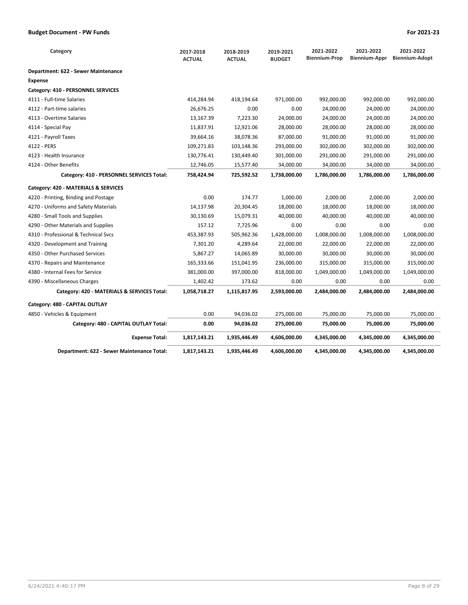| Category                                    | 2017-2018<br><b>ACTUAL</b> | 2018-2019<br><b>ACTUAL</b> | 2019-2021<br><b>BUDGET</b> | 2021-2022<br><b>Biennium-Prop</b> | 2021-2022<br>Biennium-Appr | 2021-2022<br><b>Biennium-Adopt</b> |
|---------------------------------------------|----------------------------|----------------------------|----------------------------|-----------------------------------|----------------------------|------------------------------------|
| Department: 622 - Sewer Maintenance         |                            |                            |                            |                                   |                            |                                    |
| <b>Expense</b>                              |                            |                            |                            |                                   |                            |                                    |
| Category: 410 - PERSONNEL SERVICES          |                            |                            |                            |                                   |                            |                                    |
| 4111 - Full-time Salaries                   | 414,284.94                 | 418,194.64                 | 971,000.00                 | 992,000.00                        | 992,000.00                 | 992,000.00                         |
| 4112 - Part-time salaries                   | 26,676.25                  | 0.00                       | 0.00                       | 24,000.00                         | 24,000.00                  | 24,000.00                          |
| 4113 - Overtime Salaries                    | 13,167.39                  | 7,223.30                   | 24,000.00                  | 24,000.00                         | 24,000.00                  | 24,000.00                          |
| 4114 - Special Pay                          | 11,837.91                  | 12,921.06                  | 28,000.00                  | 28,000.00                         | 28,000.00                  | 28,000.00                          |
| 4121 - Payroll Taxes                        | 39,664.16                  | 38,078.36                  | 87,000.00                  | 91,000.00                         | 91,000.00                  | 91,000.00                          |
| 4122 - PERS                                 | 109,271.83                 | 103,148.36                 | 293,000.00                 | 302,000.00                        | 302,000.00                 | 302,000.00                         |
| 4123 - Health Insurance                     | 130,776.41                 | 130,449.40                 | 301,000.00                 | 291,000.00                        | 291,000.00                 | 291,000.00                         |
| 4124 - Other Benefits                       | 12,746.05                  | 15,577.40                  | 34,000.00                  | 34,000.00                         | 34,000.00                  | 34,000.00                          |
| Category: 410 - PERSONNEL SERVICES Total:   | 758,424.94                 | 725,592.52                 | 1,738,000.00               | 1,786,000.00                      | 1,786,000.00               | 1,786,000.00                       |
| Category: 420 - MATERIALS & SERVICES        |                            |                            |                            |                                   |                            |                                    |
| 4220 - Printing, Binding and Postage        | 0.00                       | 174.77                     | 1,000.00                   | 2,000.00                          | 2,000.00                   | 2,000.00                           |
| 4270 - Uniforms and Safety Materials        | 14,137.98                  | 20,304.45                  | 18,000.00                  | 18,000.00                         | 18,000.00                  | 18,000.00                          |
| 4280 - Small Tools and Supplies             | 30,130.69                  | 15,079.31                  | 40,000.00                  | 40,000.00                         | 40,000.00                  | 40,000.00                          |
| 4290 - Other Materials and Supplies         | 157.12                     | 7,725.96                   | 0.00                       | 0.00                              | 0.00                       | 0.00                               |
| 4310 - Professional & Technical Svcs        | 453,387.93                 | 505,962.36                 | 1,428,000.00               | 1,008,000.00                      | 1,008,000.00               | 1,008,000.00                       |
| 4320 - Development and Training             | 7,301.20                   | 4,289.64                   | 22,000.00                  | 22,000.00                         | 22,000.00                  | 22,000.00                          |
| 4350 - Other Purchased Services             | 5,867.27                   | 14,065.89                  | 30,000.00                  | 30,000.00                         | 30,000.00                  | 30,000.00                          |
| 4370 - Repairs and Maintenance              | 165,333.66                 | 151,041.95                 | 236,000.00                 | 315,000.00                        | 315,000.00                 | 315,000.00                         |
| 4380 - Internal Fees for Service            | 381,000.00                 | 397,000.00                 | 818,000.00                 | 1,049,000.00                      | 1,049,000.00               | 1,049,000.00                       |
| 4390 - Miscellaneous Charges                | 1,402.42                   | 173.62                     | 0.00                       | 0.00                              | 0.00                       | 0.00                               |
| Category: 420 - MATERIALS & SERVICES Total: | 1,058,718.27               | 1,115,817.95               | 2,593,000.00               | 2,484,000.00                      | 2,484,000.00               | 2,484,000.00                       |
| Category: 480 - CAPITAL OUTLAY              |                            |                            |                            |                                   |                            |                                    |
| 4850 - Vehicles & Equipment                 | 0.00                       | 94,036.02                  | 275,000.00                 | 75,000.00                         | 75,000.00                  | 75,000.00                          |
| Category: 480 - CAPITAL OUTLAY Total:       | 0.00                       | 94,036.02                  | 275,000.00                 | 75,000.00                         | 75,000.00                  | 75,000.00                          |
| <b>Expense Total:</b>                       | 1,817,143.21               | 1,935,446.49               | 4,606,000.00               | 4,345,000.00                      | 4,345,000.00               | 4,345,000.00                       |
| Department: 622 - Sewer Maintenance Total:  | 1,817,143.21               | 1,935,446.49               | 4,606,000.00               | 4,345,000.00                      | 4,345,000.00               | 4,345,000.00                       |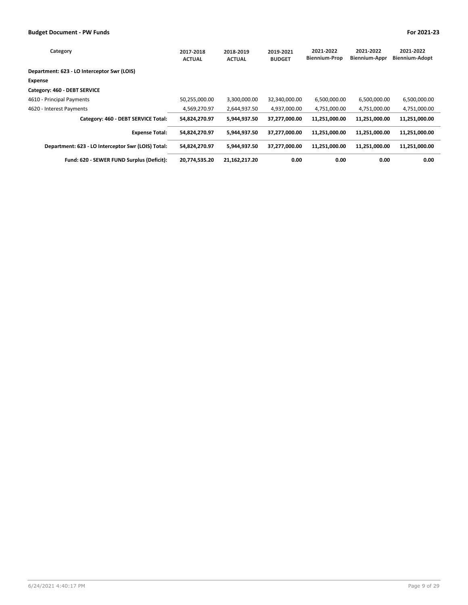| Category                                           | 2017-2018<br><b>ACTUAL</b> | 2018-2019<br><b>ACTUAL</b> | 2019-2021<br><b>BUDGET</b> | 2021-2022<br><b>Biennium-Prop</b> | 2021-2022<br><b>Biennium-Appr</b> | 2021-2022<br>Biennium-Adopt |
|----------------------------------------------------|----------------------------|----------------------------|----------------------------|-----------------------------------|-----------------------------------|-----------------------------|
| Department: 623 - LO Interceptor Swr (LOIS)        |                            |                            |                            |                                   |                                   |                             |
| Expense                                            |                            |                            |                            |                                   |                                   |                             |
| Category: 460 - DEBT SERVICE                       |                            |                            |                            |                                   |                                   |                             |
| 4610 - Principal Payments                          | 50,255,000.00              | 3,300,000.00               | 32,340,000.00              | 6,500,000.00                      | 6,500,000.00                      | 6,500,000.00                |
| 4620 - Interest Payments                           | 4.569.270.97               | 2,644,937.50               | 4.937.000.00               | 4,751,000.00                      | 4,751,000.00                      | 4,751,000.00                |
| Category: 460 - DEBT SERVICE Total:                | 54,824,270.97              | 5,944,937.50               | 37,277,000.00              | 11,251,000.00                     | 11,251,000.00                     | 11,251,000.00               |
| <b>Expense Total:</b>                              | 54,824,270.97              | 5,944,937.50               | 37,277,000.00              | 11.251.000.00                     | 11,251,000.00                     | 11,251,000.00               |
| Department: 623 - LO Interceptor Swr (LOIS) Total: | 54,824,270.97              | 5,944,937.50               | 37,277,000.00              | 11.251.000.00                     | 11,251,000.00                     | 11,251,000.00               |
| Fund: 620 - SEWER FUND Surplus (Deficit):          | 20,774,535.20              | 21,162,217.20              | 0.00                       | 0.00                              | 0.00                              | 0.00                        |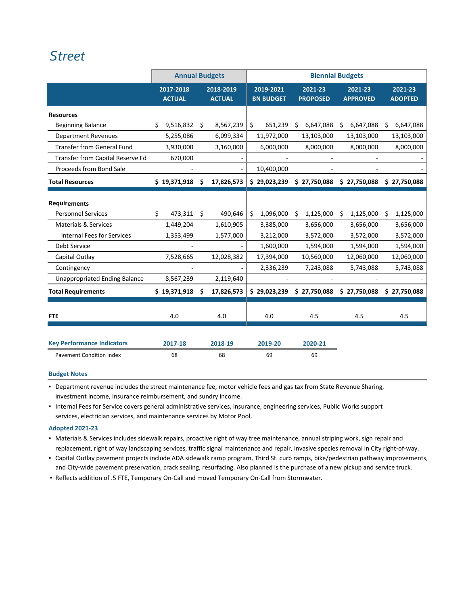## *[Street](http://www.ci.oswego.or.us/publicworks/streets)*

|                                      | <b>Annual Budgets</b>      |    |                            |    |                               |                              | <b>Biennial Budgets</b>    |      |                           |
|--------------------------------------|----------------------------|----|----------------------------|----|-------------------------------|------------------------------|----------------------------|------|---------------------------|
|                                      | 2017-2018<br><b>ACTUAL</b> |    | 2018-2019<br><b>ACTUAL</b> |    | 2019-2021<br><b>BN BUDGET</b> | 2021-23<br><b>PROPOSED</b>   | 2021-23<br><b>APPROVED</b> |      | 2021-23<br><b>ADOPTED</b> |
| <b>Resources</b>                     |                            |    |                            |    |                               |                              |                            |      |                           |
| <b>Beginning Balance</b>             | 9,516,832<br>\$            | \$ | 8,567,239                  | \$ | 651,239                       | 6,647,088<br>\$              | 6,647,088<br>\$            | \$   | 6,647,088                 |
| <b>Department Revenues</b>           | 5,255,086                  |    | 6,099,334                  |    | 11,972,000                    | 13,103,000                   | 13,103,000                 |      | 13,103,000                |
| <b>Transfer from General Fund</b>    | 3,930,000                  |    | 3,160,000                  |    | 6,000,000                     | 8,000,000                    | 8,000,000                  |      | 8,000,000                 |
| Transfer from Capital Reserve Fd     | 670,000                    |    |                            |    |                               |                              |                            |      |                           |
| Proceeds from Bond Sale              |                            |    |                            |    | 10,400,000                    |                              |                            |      |                           |
| <b>Total Resources</b>               | \$19,371,918               | Ś  | 17,826,573                 |    | \$29,023,239                  | \$27,750,088                 | \$27,750,088               |      | \$27,750,088              |
| <b>Requirements</b>                  |                            |    |                            |    |                               |                              |                            |      |                           |
| <b>Personnel Services</b>            | Ś.<br>473,311 \$           |    | 490,646                    | Ś. | 1,096,000                     | 1,125,000<br>Ŝ.              | 1,125,000<br>Ŝ.            | - \$ | 1,125,000                 |
| <b>Materials &amp; Services</b>      | 1,449,204                  |    | 1,610,905                  |    | 3,385,000                     | 3,656,000                    | 3,656,000                  |      | 3,656,000                 |
| <b>Internal Fees for Services</b>    | 1,353,499                  |    | 1,577,000                  |    | 3,212,000                     | 3,572,000                    | 3,572,000                  |      | 3,572,000                 |
| <b>Debt Service</b>                  |                            |    |                            |    | 1,600,000                     | 1,594,000                    | 1,594,000                  |      | 1,594,000                 |
| Capital Outlay                       | 7,528,665                  |    | 12,028,382                 |    | 17,394,000                    | 10,560,000                   | 12,060,000                 |      | 12,060,000                |
| Contingency                          |                            |    |                            |    | 2,336,239                     | 7,243,088                    | 5,743,088                  |      | 5,743,088                 |
| <b>Unappropriated Ending Balance</b> | 8,567,239                  |    | 2,119,640                  |    |                               |                              |                            |      |                           |
| <b>Total Requirements</b>            | \$19,371,918               | Ŝ  | 17,826,573                 |    | \$29,023,239                  | $$27,750,088$$ $$27,750,088$ |                            |      | \$27,750,088              |
|                                      |                            |    |                            |    |                               |                              |                            |      |                           |
| <b>FTE</b>                           | 4.0                        |    | 4.0                        |    | 4.0                           | 4.5                          | 4.5                        |      | 4.5                       |
|                                      |                            |    |                            |    |                               |                              |                            |      |                           |
| <b>Key Performance Indicators</b>    | 2017-18                    |    | 2018-19                    |    | 2019-20                       | 2020-21                      |                            |      |                           |
| <b>Pavement Condition Index</b>      | 68                         |    | 68                         |    | 69                            | 69                           |                            |      |                           |

#### **Budget Notes**

▪ Department revenue includes the street maintenance fee, motor vehicle fees and gas tax from State Revenue Sharing, investment income, insurance reimbursement, and sundry income.

▪ Internal Fees for Service covers general administrative services, insurance, engineering services, Public Works support services, electrician services, and maintenance services by Motor Pool.

#### **Adopted 2021‐23**

- Materials & Services includes sidewalk repairs, proactive right of way tree maintenance, annual striping work, sign repair and replacement, right of way landscaping services, traffic signal maintenance and repair, invasive species removal in City right‐of‐way.
- Capital Outlay pavement projects include ADA sidewalk ramp program, Third St. curb ramps, bike/pedestrian pathway improvements, and City-wide pavement preservation, crack sealing, resurfacing. Also planned is the purchase of a new pickup and service truck.
- Reflects addition of .5 FTE, Temporary On-Call and moved Temporary On-Call from Stormwater.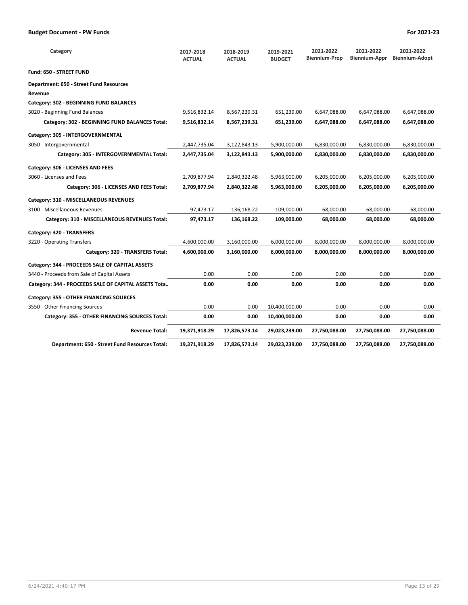| Category                                             | 2017-2018<br><b>ACTUAL</b> | 2018-2019<br><b>ACTUAL</b> | 2019-2021<br><b>BUDGET</b> | 2021-2022<br><b>Biennium-Prop</b> | 2021-2022<br>Biennium-Appr | 2021-2022<br><b>Biennium-Adopt</b> |
|------------------------------------------------------|----------------------------|----------------------------|----------------------------|-----------------------------------|----------------------------|------------------------------------|
| Fund: 650 - STREET FUND                              |                            |                            |                            |                                   |                            |                                    |
| Department: 650 - Street Fund Resources              |                            |                            |                            |                                   |                            |                                    |
| Revenue                                              |                            |                            |                            |                                   |                            |                                    |
| Category: 302 - BEGINNING FUND BALANCES              |                            |                            |                            |                                   |                            |                                    |
| 3020 - Beginning Fund Balances                       | 9,516,832.14               | 8,567,239.31               | 651,239.00                 | 6,647,088.00                      | 6,647,088.00               | 6,647,088.00                       |
| Category: 302 - BEGINNING FUND BALANCES Total:       | 9,516,832.14               | 8,567,239.31               | 651,239.00                 | 6,647,088.00                      | 6,647,088.00               | 6,647,088.00                       |
| Category: 305 - INTERGOVERNMENTAL                    |                            |                            |                            |                                   |                            |                                    |
| 3050 - Intergovernmental                             | 2,447,735.04               | 3,122,843.13               | 5,900,000.00               | 6,830,000.00                      | 6,830,000.00               | 6,830,000.00                       |
| Category: 305 - INTERGOVERNMENTAL Total:             | 2,447,735.04               | 3,122,843.13               | 5,900,000.00               | 6,830,000.00                      | 6,830,000.00               | 6,830,000.00                       |
| Category: 306 - LICENSES AND FEES                    |                            |                            |                            |                                   |                            |                                    |
| 3060 - Licenses and Fees                             | 2,709,877.94               | 2,840,322.48               | 5,963,000.00               | 6,205,000.00                      | 6,205,000.00               | 6,205,000.00                       |
| Category: 306 - LICENSES AND FEES Total:             | 2,709,877.94               | 2,840,322.48               | 5,963,000.00               | 6,205,000.00                      | 6,205,000.00               | 6,205,000.00                       |
| Category: 310 - MISCELLANEOUS REVENUES               |                            |                            |                            |                                   |                            |                                    |
| 3100 - Miscellaneous Revenues                        | 97,473.17                  | 136,168.22                 | 109,000.00                 | 68,000.00                         | 68,000.00                  | 68,000.00                          |
| Category: 310 - MISCELLANEOUS REVENUES Total:        | 97,473.17                  | 136,168.22                 | 109,000.00                 | 68,000.00                         | 68,000.00                  | 68,000.00                          |
| Category: 320 - TRANSFERS                            |                            |                            |                            |                                   |                            |                                    |
| 3220 - Operating Transfers                           | 4,600,000.00               | 3,160,000.00               | 6,000,000.00               | 8,000,000.00                      | 8,000,000.00               | 8,000,000.00                       |
| Category: 320 - TRANSFERS Total:                     | 4,600,000.00               | 3,160,000.00               | 6,000,000.00               | 8,000,000.00                      | 8,000,000.00               | 8,000,000.00                       |
| Category: 344 - PROCEEDS SALE OF CAPITAL ASSETS      |                            |                            |                            |                                   |                            |                                    |
| 3440 - Proceeds from Sale of Capital Assets          | 0.00                       | 0.00                       | 0.00                       | 0.00                              | 0.00                       | 0.00                               |
| Category: 344 - PROCEEDS SALE OF CAPITAL ASSETS Tota | 0.00                       | 0.00                       | 0.00                       | 0.00                              | 0.00                       | 0.00                               |
| Category: 355 - OTHER FINANCING SOURCES              |                            |                            |                            |                                   |                            |                                    |
| 3550 - Other Financing Sources                       | 0.00                       | 0.00                       | 10,400,000.00              | 0.00                              | 0.00                       | 0.00                               |
| Category: 355 - OTHER FINANCING SOURCES Total:       | 0.00                       | 0.00                       | 10,400,000.00              | 0.00                              | 0.00                       | 0.00                               |
| <b>Revenue Total:</b>                                | 19,371,918.29              | 17,826,573.14              | 29,023,239.00              | 27,750,088.00                     | 27,750,088.00              | 27,750,088.00                      |
| Department: 650 - Street Fund Resources Total:       | 19,371,918.29              | 17,826,573.14              | 29,023,239.00              | 27,750,088.00                     | 27,750,088.00              | 27,750,088.00                      |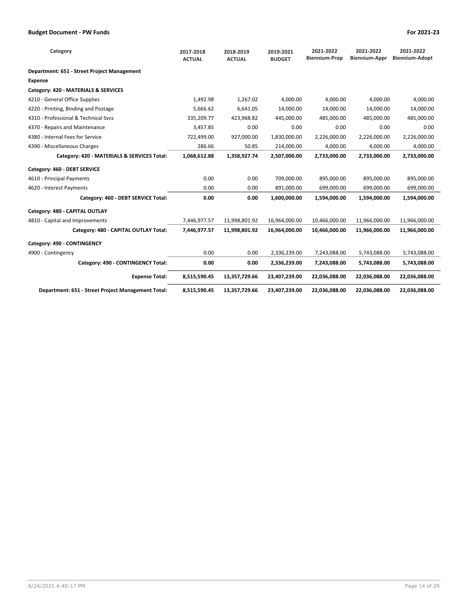| Category                                           | 2017-2018<br><b>ACTUAL</b> | 2018-2019<br><b>ACTUAL</b> | 2019-2021<br><b>BUDGET</b> | 2021-2022<br><b>Biennium-Prop</b> | 2021-2022<br><b>Biennium-Appr</b> | 2021-2022<br><b>Biennium-Adopt</b> |
|----------------------------------------------------|----------------------------|----------------------------|----------------------------|-----------------------------------|-----------------------------------|------------------------------------|
| Department: 651 - Street Project Management        |                            |                            |                            |                                   |                                   |                                    |
| <b>Expense</b>                                     |                            |                            |                            |                                   |                                   |                                    |
| Category: 420 - MATERIALS & SERVICES               |                            |                            |                            |                                   |                                   |                                    |
| 4210 - General Office Supplies                     | 1,492.98                   | 1,267.02                   | 4.000.00                   | 4.000.00                          | 4.000.00                          | 4.000.00                           |
| 4220 - Printing, Binding and Postage               | 5,666.62                   | 6,641.05                   | 14,000.00                  | 14,000.00                         | 14,000.00                         | 14,000.00                          |
| 4310 - Professional & Technical Sycs               | 335,209.77                 | 423,968.82                 | 445,000.00                 | 485,000.00                        | 485,000.00                        | 485,000.00                         |
| 4370 - Repairs and Maintenance                     | 3,457.85                   | 0.00                       | 0.00                       | 0.00                              | 0.00                              | 0.00                               |
| 4380 - Internal Fees for Service                   | 722,499.00                 | 927,000.00                 | 1,830,000.00               | 2,226,000.00                      | 2,226,000.00                      | 2,226,000.00                       |
| 4390 - Miscellaneous Charges                       | 286.66                     | 50.85                      | 214,000.00                 | 4,000.00                          | 4,000.00                          | 4,000.00                           |
| Category: 420 - MATERIALS & SERVICES Total:        | 1,068,612.88               | 1,358,927.74               | 2,507,000.00               | 2,733,000.00                      | 2,733,000.00                      | 2,733,000.00                       |
| Category: 460 - DEBT SERVICE                       |                            |                            |                            |                                   |                                   |                                    |
| 4610 - Principal Payments                          | 0.00                       | 0.00                       | 709,000.00                 | 895,000.00                        | 895,000.00                        | 895,000.00                         |
| 4620 - Interest Payments                           | 0.00                       | 0.00                       | 891,000.00                 | 699,000.00                        | 699,000.00                        | 699,000.00                         |
| Category: 460 - DEBT SERVICE Total:                | 0.00                       | 0.00                       | 1,600,000.00               | 1,594,000.00                      | 1,594,000.00                      | 1,594,000.00                       |
| Category: 480 - CAPITAL OUTLAY                     |                            |                            |                            |                                   |                                   |                                    |
| 4810 - Capital and Improvements                    | 7,446,977.57               | 11,998,801.92              | 16,964,000.00              | 10,466,000.00                     | 11,966,000.00                     | 11,966,000.00                      |
| Category: 480 - CAPITAL OUTLAY Total:              | 7,446,977.57               | 11,998,801.92              | 16,964,000.00              | 10,466,000.00                     | 11,966,000.00                     | 11,966,000.00                      |
| Category: 490 - CONTINGENCY                        |                            |                            |                            |                                   |                                   |                                    |
| 4900 - Contingency                                 | 0.00                       | 0.00                       | 2,336,239.00               | 7,243,088.00                      | 5,743,088.00                      | 5,743,088.00                       |
| Category: 490 - CONTINGENCY Total:                 | 0.00                       | 0.00                       | 2,336,239.00               | 7,243,088.00                      | 5,743,088.00                      | 5,743,088.00                       |
| <b>Expense Total:</b>                              | 8,515,590.45               | 13,357,729.66              | 23,407,239.00              | 22,036,088.00                     | 22,036,088.00                     | 22,036,088.00                      |
| Department: 651 - Street Project Management Total: | 8,515,590.45               | 13,357,729.66              | 23,407,239.00              | 22,036,088.00                     | 22,036,088.00                     | 22,036,088.00                      |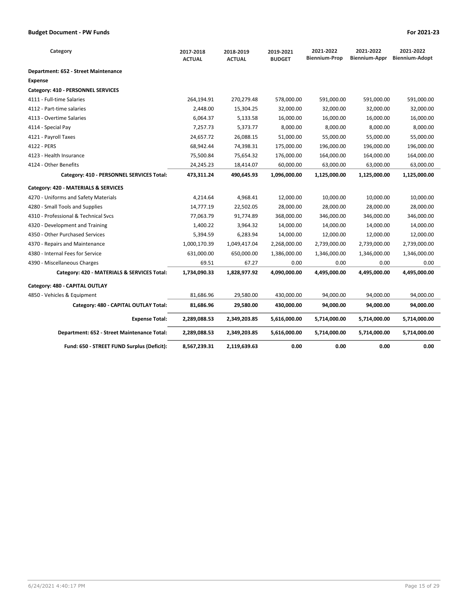| Category                                    | 2017-2018<br><b>ACTUAL</b> | 2018-2019<br><b>ACTUAL</b> | 2019-2021<br><b>BUDGET</b> | 2021-2022<br><b>Biennium-Prop</b> | 2021-2022<br>Biennium-Appr | 2021-2022<br><b>Biennium-Adopt</b> |
|---------------------------------------------|----------------------------|----------------------------|----------------------------|-----------------------------------|----------------------------|------------------------------------|
| Department: 652 - Street Maintenance        |                            |                            |                            |                                   |                            |                                    |
| Expense                                     |                            |                            |                            |                                   |                            |                                    |
| Category: 410 - PERSONNEL SERVICES          |                            |                            |                            |                                   |                            |                                    |
| 4111 - Full-time Salaries                   | 264,194.91                 | 270,279.48                 | 578,000.00                 | 591,000.00                        | 591,000.00                 | 591,000.00                         |
| 4112 - Part-time salaries                   | 2,448.00                   | 15,304.25                  | 32,000.00                  | 32,000.00                         | 32,000.00                  | 32,000.00                          |
| 4113 - Overtime Salaries                    | 6,064.37                   | 5,133.58                   | 16,000.00                  | 16,000.00                         | 16,000.00                  | 16,000.00                          |
| 4114 - Special Pay                          | 7,257.73                   | 5,373.77                   | 8,000.00                   | 8,000.00                          | 8,000.00                   | 8,000.00                           |
| 4121 - Payroll Taxes                        | 24,657.72                  | 26,088.15                  | 51,000.00                  | 55,000.00                         | 55,000.00                  | 55,000.00                          |
| 4122 - PERS                                 | 68,942.44                  | 74,398.31                  | 175,000.00                 | 196,000.00                        | 196,000.00                 | 196,000.00                         |
| 4123 - Health Insurance                     | 75,500.84                  | 75,654.32                  | 176,000.00                 | 164,000.00                        | 164,000.00                 | 164,000.00                         |
| 4124 - Other Benefits                       | 24,245.23                  | 18,414.07                  | 60,000.00                  | 63,000.00                         | 63,000.00                  | 63,000.00                          |
| Category: 410 - PERSONNEL SERVICES Total:   | 473,311.24                 | 490,645.93                 | 1,096,000.00               | 1,125,000.00                      | 1,125,000.00               | 1,125,000.00                       |
| Category: 420 - MATERIALS & SERVICES        |                            |                            |                            |                                   |                            |                                    |
| 4270 - Uniforms and Safety Materials        | 4,214.64                   | 4,968.41                   | 12,000.00                  | 10,000.00                         | 10,000.00                  | 10,000.00                          |
| 4280 - Small Tools and Supplies             | 14,777.19                  | 22,502.05                  | 28,000.00                  | 28,000.00                         | 28,000.00                  | 28,000.00                          |
| 4310 - Professional & Technical Sycs        | 77,063.79                  | 91,774.89                  | 368,000.00                 | 346,000.00                        | 346,000.00                 | 346,000.00                         |
| 4320 - Development and Training             | 1,400.22                   | 3,964.32                   | 14,000.00                  | 14,000.00                         | 14,000.00                  | 14,000.00                          |
| 4350 - Other Purchased Services             | 5,394.59                   | 6,283.94                   | 14,000.00                  | 12,000.00                         | 12,000.00                  | 12,000.00                          |
| 4370 - Repairs and Maintenance              | 1,000,170.39               | 1,049,417.04               | 2,268,000.00               | 2,739,000.00                      | 2,739,000.00               | 2,739,000.00                       |
| 4380 - Internal Fees for Service            | 631,000.00                 | 650,000.00                 | 1,386,000.00               | 1,346,000.00                      | 1,346,000.00               | 1,346,000.00                       |
| 4390 - Miscellaneous Charges                | 69.51                      | 67.27                      | 0.00                       | 0.00                              | 0.00                       | 0.00                               |
| Category: 420 - MATERIALS & SERVICES Total: | 1,734,090.33               | 1,828,977.92               | 4,090,000.00               | 4,495,000.00                      | 4,495,000.00               | 4,495,000.00                       |
| Category: 480 - CAPITAL OUTLAY              |                            |                            |                            |                                   |                            |                                    |
| 4850 - Vehicles & Equipment                 | 81,686.96                  | 29,580.00                  | 430,000.00                 | 94,000.00                         | 94,000.00                  | 94,000.00                          |
| Category: 480 - CAPITAL OUTLAY Total:       | 81,686.96                  | 29,580.00                  | 430,000.00                 | 94,000.00                         | 94,000.00                  | 94,000.00                          |
| <b>Expense Total:</b>                       | 2,289,088.53               | 2,349,203.85               | 5,616,000.00               | 5,714,000.00                      | 5,714,000.00               | 5,714,000.00                       |
| Department: 652 - Street Maintenance Total: | 2,289,088.53               | 2,349,203.85               | 5,616,000.00               | 5,714,000.00                      | 5,714,000.00               | 5,714,000.00                       |
| Fund: 650 - STREET FUND Surplus (Deficit):  | 8,567,239.31               | 2,119,639.63               | 0.00                       | 0.00                              | 0.00                       | 0.00                               |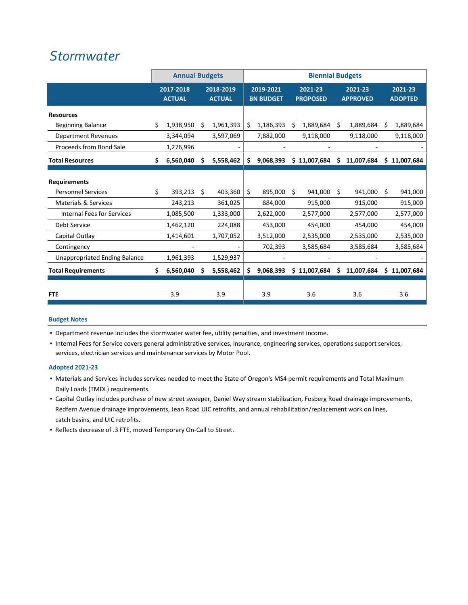### *[Stormwater](http://www.ci.oswego.or.us/publicworks/surface-water)*

|                                      |     | <b>Annual Budgets</b>      |      |                            | <b>Biennial Budgets</b> |                               |    |                            |    |                            |    |                           |
|--------------------------------------|-----|----------------------------|------|----------------------------|-------------------------|-------------------------------|----|----------------------------|----|----------------------------|----|---------------------------|
|                                      |     | 2017-2018<br><b>ACTUAL</b> |      | 2018-2019<br><b>ACTUAL</b> |                         | 2019-2021<br><b>BN BUDGET</b> |    | 2021-23<br><b>PROPOSED</b> |    | 2021-23<br><b>APPROVED</b> |    | 2021-23<br><b>ADOPTED</b> |
| <b>Resources</b>                     |     |                            |      |                            |                         |                               |    |                            |    |                            |    |                           |
| <b>Beginning Balance</b>             | Ŝ.  | 1,938,950                  | Ŝ.   | 1,961,393                  | \$                      | 1,186,393                     | Ŝ  | 1,889,684                  | Ŝ  | 1,889,684                  | Ŝ. | 1,889,684                 |
| <b>Department Revenues</b>           |     | 3,344,094                  |      | 3,597,069                  |                         | 7,882,000                     |    | 9,118,000                  |    | 9,118,000                  |    | 9,118,000                 |
| Proceeds from Bond Sale              |     | 1,276,996                  |      |                            |                         |                               |    |                            |    |                            |    |                           |
| <b>Total Resources</b>               | \$. | 6,560,040                  | S    | 5,558,462                  | Ś                       | 9,068,393                     |    | \$11,007,684               | Ś  | 11,007,684                 |    | \$11,007,684              |
| <b>Requirements</b>                  |     |                            |      |                            |                         |                               |    |                            |    |                            |    |                           |
| <b>Personnel Services</b>            | \$  | 393,213                    | - \$ | 403,360                    | \$                      | 895,000                       | Ŝ. | 941,000                    | Ŝ. | 941,000 \$                 |    | 941,000                   |
| <b>Materials &amp; Services</b>      |     | 243,213                    |      | 361,025                    |                         | 884,000                       |    | 915,000                    |    | 915,000                    |    | 915,000                   |
| <b>Internal Fees for Services</b>    |     | 1,085,500                  |      | 1,333,000                  |                         | 2,622,000                     |    | 2,577,000                  |    | 2,577,000                  |    | 2,577,000                 |
| Debt Service                         |     | 1,462,120                  |      | 224,088                    |                         | 453,000                       |    | 454,000                    |    | 454,000                    |    | 454,000                   |
| Capital Outlay                       |     | 1,414,601                  |      | 1,707,052                  |                         | 3,512,000                     |    | 2,535,000                  |    | 2,535,000                  |    | 2,535,000                 |
| Contingency                          |     |                            |      |                            |                         | 702,393                       |    | 3,585,684                  |    | 3,585,684                  |    | 3,585,684                 |
| <b>Unappropriated Ending Balance</b> |     | 1,961,393                  |      | 1,529,937                  |                         |                               |    |                            |    |                            |    |                           |
| <b>Total Requirements</b>            | Ś.  | 6,560,040                  | S    | 5,558,462                  | Ś                       | 9,068,393                     |    | \$11,007,684               | Ś  | 11,007,684                 |    | \$11,007,684              |
| <b>FTE</b>                           |     | 3.9                        |      | 3.9                        |                         | 3.9                           |    | 3.6                        |    | 3.6                        |    | 3.6                       |

#### **Budget Notes**

**•** Department revenue includes the stormwater water fee, utility penalties, and investment income.

▪ Internal Fees for Service covers general administrative services, insurance, engineering services, operations support services, services, electrician services and maintenance services by Motor Pool.

#### **Adopted 2021‐23**

- Materials and Services includes services needed to meet the State of Oregon's MS4 permit requirements and Total Maximum Daily Loads (TMDL) requirements.
- Capital Outlay includes purchase of new street sweeper, Daniel Way stream stabilization, Fosberg Road drainage improvements, Redfern Avenue drainage improvements, Jean Road UIC retrofits, and annual rehabilitation/replacement work on lines, catch basins, and UIC retrofits.
- Reflects decrease of .3 FTE, moved Temporary On‐Call to Street.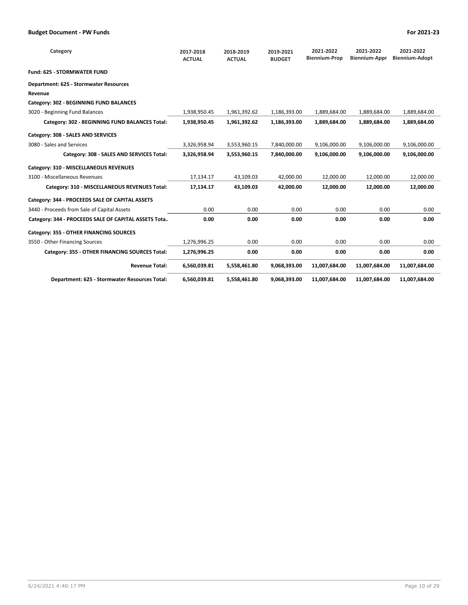| Category                                             | 2017-2018<br><b>ACTUAL</b> | 2018-2019<br><b>ACTUAL</b> | 2019-2021<br><b>BUDGET</b> | 2021-2022<br><b>Biennium-Prop</b> | 2021-2022<br><b>Biennium-Appr</b> | 2021-2022<br><b>Biennium-Adopt</b> |
|------------------------------------------------------|----------------------------|----------------------------|----------------------------|-----------------------------------|-----------------------------------|------------------------------------|
| <b>Fund: 625 - STORMWATER FUND</b>                   |                            |                            |                            |                                   |                                   |                                    |
| Department: 625 - Stormwater Resources               |                            |                            |                            |                                   |                                   |                                    |
| Revenue                                              |                            |                            |                            |                                   |                                   |                                    |
| Category: 302 - BEGINNING FUND BALANCES              |                            |                            |                            |                                   |                                   |                                    |
| 3020 - Beginning Fund Balances                       | 1,938,950.45               | 1,961,392.62               | 1,186,393.00               | 1,889,684.00                      | 1,889,684.00                      | 1,889,684.00                       |
| Category: 302 - BEGINNING FUND BALANCES Total:       | 1,938,950.45               | 1,961,392.62               | 1,186,393.00               | 1,889,684.00                      | 1,889,684.00                      | 1,889,684.00                       |
| Category: 308 - SALES AND SERVICES                   |                            |                            |                            |                                   |                                   |                                    |
| 3080 - Sales and Services                            | 3,326,958.94               | 3,553,960.15               | 7,840,000.00               | 9,106,000.00                      | 9,106,000.00                      | 9,106,000.00                       |
| Category: 308 - SALES AND SERVICES Total:            | 3,326,958.94               | 3,553,960.15               | 7,840,000.00               | 9,106,000.00                      | 9,106,000.00                      | 9,106,000.00                       |
| Category: 310 - MISCELLANEOUS REVENUES               |                            |                            |                            |                                   |                                   |                                    |
| 3100 - Miscellaneous Revenues                        | 17,134.17                  | 43,109.03                  | 42,000.00                  | 12,000.00                         | 12,000.00                         | 12,000.00                          |
| Category: 310 - MISCELLANEOUS REVENUES Total:        | 17,134.17                  | 43.109.03                  | 42.000.00                  | 12.000.00                         | 12.000.00                         | 12,000.00                          |
| Category: 344 - PROCEEDS SALE OF CAPITAL ASSETS      |                            |                            |                            |                                   |                                   |                                    |
| 3440 - Proceeds from Sale of Capital Assets          | 0.00                       | 0.00                       | 0.00                       | 0.00                              | 0.00                              | 0.00                               |
| Category: 344 - PROCEEDS SALE OF CAPITAL ASSETS Tota | 0.00                       | 0.00                       | 0.00                       | 0.00                              | 0.00                              | 0.00                               |
| Category: 355 - OTHER FINANCING SOURCES              |                            |                            |                            |                                   |                                   |                                    |
| 3550 - Other Financing Sources                       | 1,276,996.25               | 0.00                       | 0.00                       | 0.00                              | 0.00                              | 0.00                               |
| Category: 355 - OTHER FINANCING SOURCES Total:       | 1,276,996.25               | 0.00                       | 0.00                       | 0.00                              | 0.00                              | 0.00                               |
| <b>Revenue Total:</b>                                | 6,560,039.81               | 5,558,461.80               | 9,068,393.00               | 11,007,684.00                     | 11,007,684.00                     | 11,007,684.00                      |
| Department: 625 - Stormwater Resources Total:        | 6,560,039.81               | 5,558,461.80               | 9,068,393.00               | 11,007,684.00                     | 11,007,684.00                     | 11,007,684.00                      |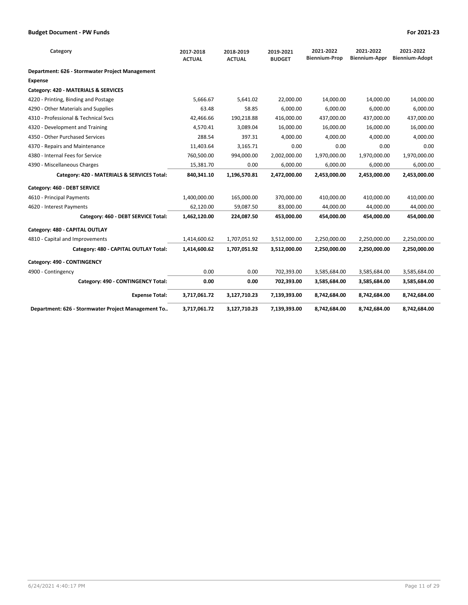| Category                                           | 2017-2018<br><b>ACTUAL</b> | 2018-2019<br><b>ACTUAL</b> | 2019-2021<br><b>BUDGET</b> | 2021-2022<br><b>Biennium-Prop</b> | 2021-2022<br>Biennium-Appr | 2021-2022<br><b>Biennium-Adopt</b> |
|----------------------------------------------------|----------------------------|----------------------------|----------------------------|-----------------------------------|----------------------------|------------------------------------|
| Department: 626 - Stormwater Project Management    |                            |                            |                            |                                   |                            |                                    |
| <b>Expense</b>                                     |                            |                            |                            |                                   |                            |                                    |
| Category: 420 - MATERIALS & SERVICES               |                            |                            |                            |                                   |                            |                                    |
| 4220 - Printing, Binding and Postage               | 5,666.67                   | 5,641.02                   | 22,000.00                  | 14,000.00                         | 14,000.00                  | 14,000.00                          |
| 4290 - Other Materials and Supplies                | 63.48                      | 58.85                      | 6,000.00                   | 6,000.00                          | 6,000.00                   | 6,000.00                           |
| 4310 - Professional & Technical Sycs               | 42,466.66                  | 190,218.88                 | 416,000.00                 | 437,000.00                        | 437,000.00                 | 437,000.00                         |
| 4320 - Development and Training                    | 4,570.41                   | 3,089.04                   | 16,000.00                  | 16,000.00                         | 16,000.00                  | 16,000.00                          |
| 4350 - Other Purchased Services                    | 288.54                     | 397.31                     | 4.000.00                   | 4,000.00                          | 4.000.00                   | 4,000.00                           |
| 4370 - Repairs and Maintenance                     | 11,403.64                  | 3,165.71                   | 0.00                       | 0.00                              | 0.00                       | 0.00                               |
| 4380 - Internal Fees for Service                   | 760,500.00                 | 994,000.00                 | 2,002,000.00               | 1,970,000.00                      | 1,970,000.00               | 1,970,000.00                       |
| 4390 - Miscellaneous Charges                       | 15,381.70                  | 0.00                       | 6,000.00                   | 6,000.00                          | 6,000.00                   | 6,000.00                           |
| Category: 420 - MATERIALS & SERVICES Total:        | 840,341.10                 | 1,196,570.81               | 2,472,000.00               | 2,453,000.00                      | 2,453,000.00               | 2,453,000.00                       |
| Category: 460 - DEBT SERVICE                       |                            |                            |                            |                                   |                            |                                    |
| 4610 - Principal Payments                          | 1,400,000.00               | 165,000.00                 | 370,000.00                 | 410,000.00                        | 410,000.00                 | 410,000.00                         |
| 4620 - Interest Payments                           | 62,120.00                  | 59,087.50                  | 83,000.00                  | 44,000.00                         | 44,000.00                  | 44,000.00                          |
| Category: 460 - DEBT SERVICE Total:                | 1,462,120.00               | 224,087.50                 | 453,000.00                 | 454,000.00                        | 454,000.00                 | 454,000.00                         |
| Category: 480 - CAPITAL OUTLAY                     |                            |                            |                            |                                   |                            |                                    |
| 4810 - Capital and Improvements                    | 1,414,600.62               | 1,707,051.92               | 3,512,000.00               | 2,250,000.00                      | 2,250,000.00               | 2,250,000.00                       |
| Category: 480 - CAPITAL OUTLAY Total:              | 1,414,600.62               | 1,707,051.92               | 3,512,000.00               | 2,250,000.00                      | 2,250,000.00               | 2,250,000.00                       |
| Category: 490 - CONTINGENCY                        |                            |                            |                            |                                   |                            |                                    |
| 4900 - Contingency                                 | 0.00                       | 0.00                       | 702,393.00                 | 3,585,684.00                      | 3,585,684.00               | 3,585,684.00                       |
| Category: 490 - CONTINGENCY Total:                 | 0.00                       | 0.00                       | 702,393.00                 | 3,585,684.00                      | 3,585,684.00               | 3,585,684.00                       |
| <b>Expense Total:</b>                              | 3,717,061.72               | 3,127,710.23               | 7,139,393.00               | 8,742,684.00                      | 8,742,684.00               | 8,742,684.00                       |
| Department: 626 - Stormwater Project Management To | 3,717,061.72               | 3,127,710.23               | 7,139,393.00               | 8,742,684.00                      | 8,742,684.00               | 8,742,684.00                       |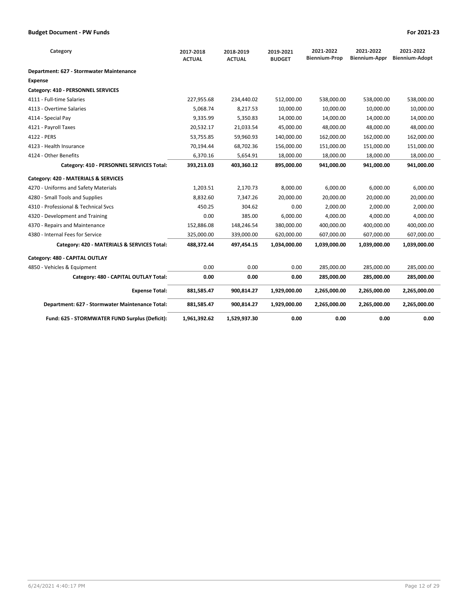| Category                                        | 2017-2018<br><b>ACTUAL</b> | 2018-2019<br><b>ACTUAL</b> | 2019-2021<br><b>BUDGET</b> | 2021-2022<br><b>Biennium-Prop</b> | 2021-2022<br><b>Biennium-Appr</b> | 2021-2022<br><b>Biennium-Adopt</b> |
|-------------------------------------------------|----------------------------|----------------------------|----------------------------|-----------------------------------|-----------------------------------|------------------------------------|
| Department: 627 - Stormwater Maintenance        |                            |                            |                            |                                   |                                   |                                    |
| Expense                                         |                            |                            |                            |                                   |                                   |                                    |
| Category: 410 - PERSONNEL SERVICES              |                            |                            |                            |                                   |                                   |                                    |
| 4111 - Full-time Salaries                       | 227,955.68                 | 234,440.02                 | 512,000.00                 | 538,000.00                        | 538,000.00                        | 538,000.00                         |
| 4113 - Overtime Salaries                        | 5,068.74                   | 8,217.53                   | 10,000.00                  | 10,000.00                         | 10,000.00                         | 10,000.00                          |
| 4114 - Special Pay                              | 9,335.99                   | 5,350.83                   | 14,000.00                  | 14,000.00                         | 14,000.00                         | 14,000.00                          |
| 4121 - Payroll Taxes                            | 20,532.17                  | 21,033.54                  | 45,000.00                  | 48,000.00                         | 48.000.00                         | 48,000.00                          |
| 4122 - PERS                                     | 53,755.85                  | 59,960.93                  | 140,000.00                 | 162,000.00                        | 162,000.00                        | 162,000.00                         |
| 4123 - Health Insurance                         | 70,194.44                  | 68,702.36                  | 156,000.00                 | 151,000.00                        | 151,000.00                        | 151,000.00                         |
| 4124 - Other Benefits                           | 6,370.16                   | 5,654.91                   | 18,000.00                  | 18,000.00                         | 18,000.00                         | 18,000.00                          |
| Category: 410 - PERSONNEL SERVICES Total:       | 393,213.03                 | 403,360.12                 | 895,000.00                 | 941,000.00                        | 941,000.00                        | 941,000.00                         |
| Category: 420 - MATERIALS & SERVICES            |                            |                            |                            |                                   |                                   |                                    |
| 4270 - Uniforms and Safety Materials            | 1,203.51                   | 2,170.73                   | 8,000.00                   | 6,000.00                          | 6,000.00                          | 6,000.00                           |
| 4280 - Small Tools and Supplies                 | 8,832.60                   | 7,347.26                   | 20,000.00                  | 20,000.00                         | 20,000.00                         | 20,000.00                          |
| 4310 - Professional & Technical Svcs            | 450.25                     | 304.62                     | 0.00                       | 2,000.00                          | 2,000.00                          | 2,000.00                           |
| 4320 - Development and Training                 | 0.00                       | 385.00                     | 6,000.00                   | 4.000.00                          | 4.000.00                          | 4,000.00                           |
| 4370 - Repairs and Maintenance                  | 152,886.08                 | 148,246.54                 | 380,000.00                 | 400,000.00                        | 400,000.00                        | 400,000.00                         |
| 4380 - Internal Fees for Service                | 325,000.00                 | 339,000.00                 | 620,000.00                 | 607,000.00                        | 607,000.00                        | 607,000.00                         |
| Category: 420 - MATERIALS & SERVICES Total:     | 488,372.44                 | 497,454.15                 | 1,034,000.00               | 1,039,000.00                      | 1,039,000.00                      | 1,039,000.00                       |
| Category: 480 - CAPITAL OUTLAY                  |                            |                            |                            |                                   |                                   |                                    |
| 4850 - Vehicles & Equipment                     | 0.00                       | 0.00                       | 0.00                       | 285.000.00                        | 285.000.00                        | 285,000.00                         |
| Category: 480 - CAPITAL OUTLAY Total:           | 0.00                       | 0.00                       | 0.00                       | 285,000.00                        | 285,000.00                        | 285,000.00                         |
| <b>Expense Total:</b>                           | 881,585.47                 | 900,814.27                 | 1,929,000.00               | 2,265,000.00                      | 2,265,000.00                      | 2,265,000.00                       |
| Department: 627 - Stormwater Maintenance Total: | 881,585.47                 | 900,814.27                 | 1,929,000.00               | 2,265,000.00                      | 2,265,000.00                      | 2,265,000.00                       |
| Fund: 625 - STORMWATER FUND Surplus (Deficit):  | 1,961,392.62               | 1,529,937.30               | 0.00                       | 0.00                              | 0.00                              | 0.00                               |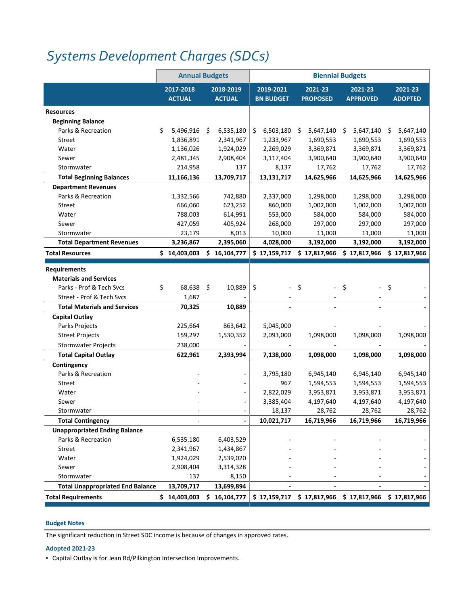## *Systems [Development](https://www.ci.oswego.or.us/building/building-frequently-asked-questions) Charges (SDCs)*

|                                                      | <b>Annual Budgets</b>        |                            |                               |                            | <b>Biennial Budgets</b>                                 |                           |
|------------------------------------------------------|------------------------------|----------------------------|-------------------------------|----------------------------|---------------------------------------------------------|---------------------------|
|                                                      | 2017-2018<br><b>ACTUAL</b>   | 2018-2019<br><b>ACTUAL</b> | 2019-2021<br><b>BN BUDGET</b> | 2021-23<br><b>PROPOSED</b> | $2021 - 23$<br><b>APPROVED</b>                          | 2021-23<br><b>ADOPTED</b> |
| <b>Resources</b>                                     |                              |                            |                               |                            |                                                         |                           |
| <b>Beginning Balance</b>                             |                              |                            |                               |                            |                                                         |                           |
| Parks & Recreation                                   | \$<br>$5,496,916$ \$         | 6,535,180                  | 6,503,180<br>\$               | $5,647,140$ \$<br>S        | 5,647,140 \$                                            | 5,647,140                 |
| Street                                               | 1,836,891                    | 2,341,967                  | 1,233,967                     | 1,690,553                  | 1,690,553                                               | 1,690,553                 |
| Water                                                | 1,136,026                    | 1,924,029                  | 2,269,029                     | 3,369,871                  | 3,369,871                                               | 3,369,871                 |
| Sewer                                                | 2,481,345                    | 2,908,404                  | 3,117,404                     | 3,900,640                  | 3,900,640                                               | 3,900,640                 |
| Stormwater                                           | 214,958                      | 137                        | 8,137                         | 17,762                     | 17,762                                                  | 17,762                    |
| <b>Total Beginning Balances</b>                      | 11,166,136                   | 13,709,717                 | 13,131,717                    | 14,625,966                 | 14,625,966                                              | 14,625,966                |
| <b>Department Revenues</b>                           |                              |                            |                               |                            |                                                         |                           |
| Parks & Recreation                                   | 1,332,566                    | 742,880                    | 2,337,000                     | 1,298,000                  | 1,298,000                                               | 1,298,000                 |
| Street                                               | 666,060                      | 623,252                    | 860,000                       | 1,002,000                  | 1,002,000                                               | 1,002,000                 |
| Water                                                | 788,003                      | 614,991                    | 553,000                       | 584,000                    | 584,000                                                 | 584,000                   |
| Sewer                                                | 427,059                      | 405,924                    | 268,000                       | 297,000                    | 297,000                                                 | 297,000                   |
| Stormwater                                           | 23,179                       | 8,013                      | 10,000                        | 11,000                     | 11,000                                                  | 11,000                    |
| <b>Total Department Revenues</b>                     | 3,236,867                    | 2,395,060                  | 4,028,000                     | 3,192,000                  | 3,192,000                                               | 3,192,000                 |
| <b>Total Resources</b>                               | \$14,403,003                 | \$<br>16,104,777           | \$17,159,717                  | \$17,817,966               | \$17,817,966                                            | \$17,817,966              |
|                                                      |                              |                            |                               |                            |                                                         |                           |
| <b>Requirements</b><br><b>Materials and Services</b> |                              |                            |                               |                            |                                                         |                           |
| Parks - Prof & Tech Svcs                             | \$<br>68,638 \$              | 10,889                     | \$                            | \$<br>$\blacksquare$       | - \$<br>÷,                                              | \$                        |
| Street - Prof & Tech Svcs                            | 1,687                        |                            |                               |                            |                                                         |                           |
| <b>Total Materials and Services</b>                  | 70,325                       | 10,889                     |                               | $\blacksquare$             |                                                         |                           |
| <b>Capital Outlay</b>                                |                              |                            |                               |                            |                                                         |                           |
| Parks Projects                                       | 225,664                      | 863,642                    | 5,045,000                     |                            |                                                         |                           |
| <b>Street Projects</b>                               | 159,297                      | 1,530,352                  | 2,093,000                     | 1,098,000                  | 1,098,000                                               | 1,098,000                 |
| <b>Stormwater Projects</b>                           | 238,000                      |                            |                               |                            |                                                         |                           |
| <b>Total Capital Outlay</b>                          | 622,961                      | 2,393,994                  | 7,138,000                     | 1,098,000                  | 1,098,000                                               | 1,098,000                 |
| Contingency                                          |                              |                            |                               |                            |                                                         |                           |
| Parks & Recreation                                   |                              |                            | 3,795,180                     | 6,945,140                  | 6,945,140                                               | 6,945,140                 |
| Street                                               |                              |                            | 967                           | 1,594,553                  | 1,594,553                                               | 1,594,553                 |
| Water                                                |                              |                            | 2,822,029                     | 3,953,871                  | 3,953,871                                               | 3,953,871                 |
| Sewer                                                |                              |                            | 3,385,404                     | 4,197,640                  | 4,197,640                                               | 4,197,640                 |
| Stormwater                                           |                              |                            | 18,137                        | 28,762                     | 28,762                                                  | 28,762                    |
| <b>Total Contingency</b>                             |                              |                            | 10,021,717                    | 16,719,966                 | 16,719,966                                              | 16,719,966                |
| <b>Unappropriated Ending Balance</b>                 |                              |                            |                               |                            |                                                         |                           |
| Parks & Recreation                                   | 6,535,180                    | 6,403,529                  |                               |                            |                                                         |                           |
| Street                                               | 2,341,967                    | 1,434,867                  |                               |                            |                                                         |                           |
| Water                                                | 1,924,029                    | 2,539,020                  |                               |                            |                                                         |                           |
| Sewer                                                | 2,908,404                    | 3,314,328                  |                               |                            |                                                         |                           |
| Stormwater                                           | 137                          | 8,150                      |                               |                            |                                                         |                           |
| <b>Total Unappropriated End Balance</b>              | 13,709,717                   | 13,699,894                 |                               |                            |                                                         |                           |
| <b>Total Requirements</b>                            | $$14,403,003$$ $$16,104,777$ |                            |                               |                            | $$17,159,717$ $$17,817,966$ $$17,817,966$ $$17,817,966$ |                           |

#### **Budget Notes**

The significant reduction in Street SDC income is because of changes in approved rates.

#### **Adopted 2021‐23**

▪ Capital Outlay is for Jean Rd/Pilkington Intersection Improvements.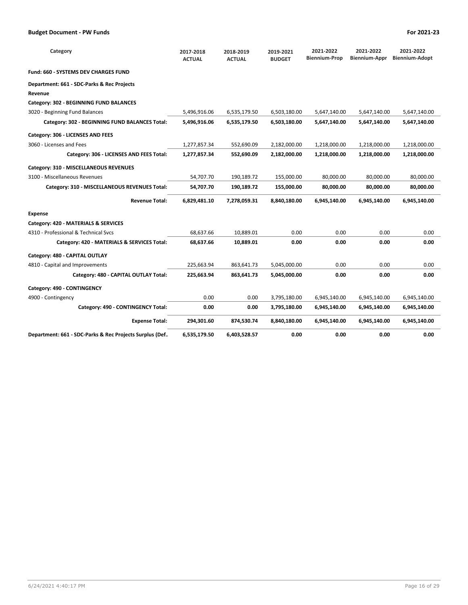| Category                                                | 2017-2018<br><b>ACTUAL</b> | 2018-2019<br><b>ACTUAL</b> | 2019-2021<br><b>BUDGET</b> | 2021-2022<br><b>Biennium-Prop</b> | 2021-2022<br>Biennium-Appr | 2021-2022<br><b>Biennium-Adopt</b> |
|---------------------------------------------------------|----------------------------|----------------------------|----------------------------|-----------------------------------|----------------------------|------------------------------------|
| Fund: 660 - SYSTEMS DEV CHARGES FUND                    |                            |                            |                            |                                   |                            |                                    |
| Department: 661 - SDC-Parks & Rec Projects              |                            |                            |                            |                                   |                            |                                    |
| Revenue                                                 |                            |                            |                            |                                   |                            |                                    |
| Category: 302 - BEGINNING FUND BALANCES                 |                            |                            |                            |                                   |                            |                                    |
| 3020 - Beginning Fund Balances                          | 5,496,916.06               | 6,535,179.50               | 6,503,180.00               | 5,647,140.00                      | 5,647,140.00               | 5,647,140.00                       |
| Category: 302 - BEGINNING FUND BALANCES Total:          | 5,496,916.06               | 6,535,179.50               | 6,503,180.00               | 5,647,140.00                      | 5,647,140.00               | 5,647,140.00                       |
| Category: 306 - LICENSES AND FEES                       |                            |                            |                            |                                   |                            |                                    |
| 3060 - Licenses and Fees                                | 1,277,857.34               | 552,690.09                 | 2,182,000.00               | 1,218,000.00                      | 1,218,000.00               | 1,218,000.00                       |
| Category: 306 - LICENSES AND FEES Total:                | 1,277,857.34               | 552,690.09                 | 2,182,000.00               | 1,218,000.00                      | 1,218,000.00               | 1,218,000.00                       |
| Category: 310 - MISCELLANEOUS REVENUES                  |                            |                            |                            |                                   |                            |                                    |
| 3100 - Miscellaneous Revenues                           | 54,707.70                  | 190,189.72                 | 155,000.00                 | 80,000.00                         | 80,000.00                  | 80,000.00                          |
| Category: 310 - MISCELLANEOUS REVENUES Total:           | 54,707.70                  | 190,189.72                 | 155,000.00                 | 80,000.00                         | 80,000.00                  | 80,000.00                          |
| <b>Revenue Total:</b>                                   | 6,829,481.10               | 7,278,059.31               | 8,840,180.00               | 6,945,140.00                      | 6,945,140.00               | 6,945,140.00                       |
| <b>Expense</b>                                          |                            |                            |                            |                                   |                            |                                    |
| Category: 420 - MATERIALS & SERVICES                    |                            |                            |                            |                                   |                            |                                    |
| 4310 - Professional & Technical Sycs                    | 68,637.66                  | 10,889.01                  | 0.00                       | 0.00                              | 0.00                       | 0.00                               |
| Category: 420 - MATERIALS & SERVICES Total:             | 68,637.66                  | 10,889.01                  | 0.00                       | 0.00                              | 0.00                       | 0.00                               |
| Category: 480 - CAPITAL OUTLAY                          |                            |                            |                            |                                   |                            |                                    |
| 4810 - Capital and Improvements                         | 225,663.94                 | 863,641.73                 | 5,045,000.00               | 0.00                              | 0.00                       | 0.00                               |
| Category: 480 - CAPITAL OUTLAY Total:                   | 225,663.94                 | 863,641.73                 | 5,045,000.00               | 0.00                              | 0.00                       | 0.00                               |
| Category: 490 - CONTINGENCY                             |                            |                            |                            |                                   |                            |                                    |
| 4900 - Contingency                                      | 0.00                       | 0.00                       | 3,795,180.00               | 6,945,140.00                      | 6,945,140.00               | 6,945,140.00                       |
| Category: 490 - CONTINGENCY Total:                      | 0.00                       | 0.00                       | 3,795,180.00               | 6,945,140.00                      | 6,945,140.00               | 6,945,140.00                       |
| <b>Expense Total:</b>                                   | 294,301.60                 | 874,530.74                 | 8,840,180.00               | 6,945,140.00                      | 6,945,140.00               | 6,945,140.00                       |
| Department: 661 - SDC-Parks & Rec Projects Surplus (Def | 6,535,179.50               | 6,403,528.57               | 0.00                       | 0.00                              | 0.00                       | 0.00                               |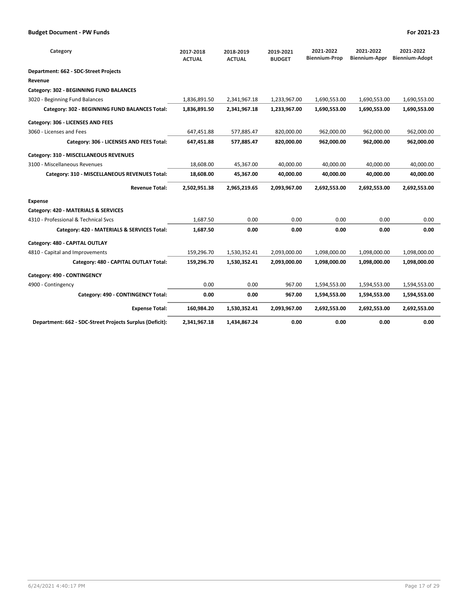| Category                                                 | 2017-2018<br><b>ACTUAL</b> | 2018-2019<br><b>ACTUAL</b> | 2019-2021<br><b>BUDGET</b> | 2021-2022<br><b>Biennium-Prop</b> | 2021-2022<br><b>Biennium-Appr</b> | 2021-2022<br><b>Biennium-Adopt</b> |
|----------------------------------------------------------|----------------------------|----------------------------|----------------------------|-----------------------------------|-----------------------------------|------------------------------------|
| Department: 662 - SDC-Street Projects                    |                            |                            |                            |                                   |                                   |                                    |
| Revenue                                                  |                            |                            |                            |                                   |                                   |                                    |
| Category: 302 - BEGINNING FUND BALANCES                  |                            |                            |                            |                                   |                                   |                                    |
| 3020 - Beginning Fund Balances                           | 1,836,891.50               | 2,341,967.18               | 1,233,967.00               | 1,690,553.00                      | 1,690,553.00                      | 1,690,553.00                       |
| Category: 302 - BEGINNING FUND BALANCES Total:           | 1,836,891.50               | 2,341,967.18               | 1,233,967.00               | 1,690,553.00                      | 1,690,553.00                      | 1,690,553.00                       |
| Category: 306 - LICENSES AND FEES                        |                            |                            |                            |                                   |                                   |                                    |
| 3060 - Licenses and Fees                                 | 647,451.88                 | 577,885.47                 | 820,000.00                 | 962,000.00                        | 962,000.00                        | 962,000.00                         |
| Category: 306 - LICENSES AND FEES Total:                 | 647,451.88                 | 577,885.47                 | 820,000.00                 | 962,000.00                        | 962,000.00                        | 962,000.00                         |
| Category: 310 - MISCELLANEOUS REVENUES                   |                            |                            |                            |                                   |                                   |                                    |
| 3100 - Miscellaneous Revenues                            | 18,608.00                  | 45,367.00                  | 40,000.00                  | 40,000.00                         | 40,000.00                         | 40,000.00                          |
| Category: 310 - MISCELLANEOUS REVENUES Total:            | 18,608.00                  | 45,367.00                  | 40,000.00                  | 40,000.00                         | 40,000.00                         | 40,000.00                          |
| <b>Revenue Total:</b>                                    | 2,502,951.38               | 2,965,219.65               | 2,093,967.00               | 2,692,553.00                      | 2,692,553.00                      | 2,692,553.00                       |
| <b>Expense</b>                                           |                            |                            |                            |                                   |                                   |                                    |
| Category: 420 - MATERIALS & SERVICES                     |                            |                            |                            |                                   |                                   |                                    |
| 4310 - Professional & Technical Sycs                     | 1,687.50                   | 0.00                       | 0.00                       | 0.00                              | 0.00                              | 0.00                               |
| Category: 420 - MATERIALS & SERVICES Total:              | 1,687.50                   | 0.00                       | 0.00                       | 0.00                              | 0.00                              | 0.00                               |
| Category: 480 - CAPITAL OUTLAY                           |                            |                            |                            |                                   |                                   |                                    |
| 4810 - Capital and Improvements                          | 159,296.70                 | 1,530,352.41               | 2,093,000.00               | 1,098,000.00                      | 1,098,000.00                      | 1,098,000.00                       |
| Category: 480 - CAPITAL OUTLAY Total:                    | 159,296.70                 | 1,530,352.41               | 2,093,000.00               | 1,098,000.00                      | 1,098,000.00                      | 1,098,000.00                       |
| Category: 490 - CONTINGENCY                              |                            |                            |                            |                                   |                                   |                                    |
| 4900 - Contingency                                       | 0.00                       | 0.00                       | 967.00                     | 1,594,553.00                      | 1,594,553.00                      | 1,594,553.00                       |
| Category: 490 - CONTINGENCY Total:                       | 0.00                       | 0.00                       | 967.00                     | 1,594,553.00                      | 1,594,553.00                      | 1,594,553.00                       |
| <b>Expense Total:</b>                                    | 160,984.20                 | 1,530,352.41               | 2,093,967.00               | 2,692,553.00                      | 2,692,553.00                      | 2,692,553.00                       |
| Department: 662 - SDC-Street Projects Surplus (Deficit): | 2,341,967.18               | 1,434,867.24               | 0.00                       | 0.00                              | 0.00                              | 0.00                               |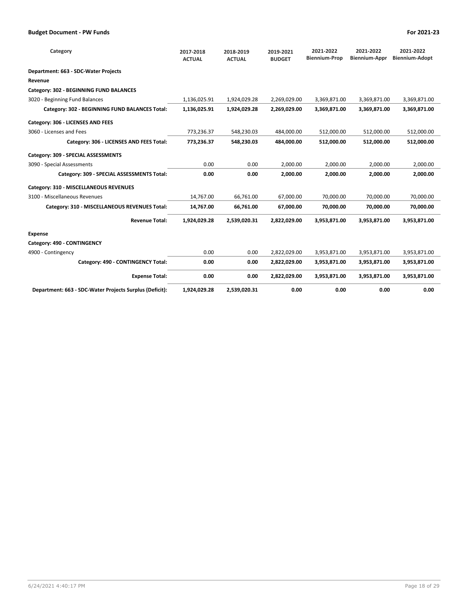| Category                                                | 2017-2018<br><b>ACTUAL</b> | 2018-2019<br><b>ACTUAL</b> | 2019-2021<br><b>BUDGET</b> | 2021-2022<br><b>Biennium-Prop</b> | 2021-2022<br><b>Biennium-Appr</b> | 2021-2022<br><b>Biennium-Adopt</b> |
|---------------------------------------------------------|----------------------------|----------------------------|----------------------------|-----------------------------------|-----------------------------------|------------------------------------|
| Department: 663 - SDC-Water Projects                    |                            |                            |                            |                                   |                                   |                                    |
| Revenue                                                 |                            |                            |                            |                                   |                                   |                                    |
| Category: 302 - BEGINNING FUND BALANCES                 |                            |                            |                            |                                   |                                   |                                    |
| 3020 - Beginning Fund Balances                          | 1,136,025.91               | 1,924,029.28               | 2,269,029.00               | 3,369,871.00                      | 3,369,871.00                      | 3,369,871.00                       |
| Category: 302 - BEGINNING FUND BALANCES Total:          | 1,136,025.91               | 1,924,029.28               | 2,269,029.00               | 3,369,871.00                      | 3,369,871.00                      | 3,369,871.00                       |
| Category: 306 - LICENSES AND FEES                       |                            |                            |                            |                                   |                                   |                                    |
| 3060 - Licenses and Fees                                | 773,236.37                 | 548,230.03                 | 484,000.00                 | 512,000.00                        | 512,000.00                        | 512,000.00                         |
| Category: 306 - LICENSES AND FEES Total:                | 773,236.37                 | 548.230.03                 | 484.000.00                 | 512.000.00                        | 512.000.00                        | 512,000.00                         |
| Category: 309 - SPECIAL ASSESSMENTS                     |                            |                            |                            |                                   |                                   |                                    |
| 3090 - Special Assessments                              | 0.00                       | 0.00                       | 2,000.00                   | 2,000.00                          | 2,000.00                          | 2,000.00                           |
| Category: 309 - SPECIAL ASSESSMENTS Total:              | 0.00                       | 0.00                       | 2.000.00                   | 2,000.00                          | 2,000.00                          | 2,000.00                           |
| Category: 310 - MISCELLANEOUS REVENUES                  |                            |                            |                            |                                   |                                   |                                    |
| 3100 - Miscellaneous Revenues                           | 14,767.00                  | 66,761.00                  | 67,000.00                  | 70,000.00                         | 70,000.00                         | 70,000.00                          |
| Category: 310 - MISCELLANEOUS REVENUES Total:           | 14,767.00                  | 66,761.00                  | 67,000.00                  | 70,000.00                         | 70,000.00                         | 70,000.00                          |
| <b>Revenue Total:</b>                                   | 1,924,029.28               | 2,539,020.31               | 2,822,029.00               | 3,953,871.00                      | 3,953,871.00                      | 3,953,871.00                       |
| <b>Expense</b>                                          |                            |                            |                            |                                   |                                   |                                    |
| Category: 490 - CONTINGENCY                             |                            |                            |                            |                                   |                                   |                                    |
| 4900 - Contingency                                      | 0.00                       | 0.00                       | 2,822,029.00               | 3,953,871.00                      | 3,953,871.00                      | 3,953,871.00                       |
| Category: 490 - CONTINGENCY Total:                      | 0.00                       | 0.00                       | 2,822,029.00               | 3,953,871.00                      | 3,953,871.00                      | 3,953,871.00                       |
| <b>Expense Total:</b>                                   | 0.00                       | 0.00                       | 2,822,029.00               | 3,953,871.00                      | 3,953,871.00                      | 3,953,871.00                       |
| Department: 663 - SDC-Water Projects Surplus (Deficit): | 1,924,029.28               | 2,539,020.31               | 0.00                       | 0.00                              | 0.00                              | 0.00                               |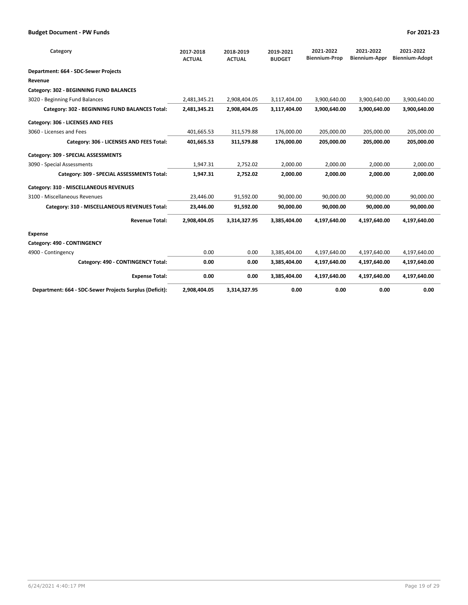| Category                                                | 2017-2018<br><b>ACTUAL</b> | 2018-2019<br><b>ACTUAL</b> | 2019-2021<br><b>BUDGET</b> | 2021-2022<br><b>Biennium-Prop</b> | 2021-2022<br><b>Biennium-Appr</b> | 2021-2022<br><b>Biennium-Adopt</b> |
|---------------------------------------------------------|----------------------------|----------------------------|----------------------------|-----------------------------------|-----------------------------------|------------------------------------|
| Department: 664 - SDC-Sewer Projects                    |                            |                            |                            |                                   |                                   |                                    |
| Revenue                                                 |                            |                            |                            |                                   |                                   |                                    |
| Category: 302 - BEGINNING FUND BALANCES                 |                            |                            |                            |                                   |                                   |                                    |
| 3020 - Beginning Fund Balances                          | 2,481,345.21               | 2,908,404.05               | 3,117,404.00               | 3,900,640.00                      | 3,900,640.00                      | 3,900,640.00                       |
| Category: 302 - BEGINNING FUND BALANCES Total:          | 2,481,345.21               | 2,908,404.05               | 3,117,404.00               | 3,900,640.00                      | 3,900,640.00                      | 3,900,640.00                       |
| Category: 306 - LICENSES AND FEES                       |                            |                            |                            |                                   |                                   |                                    |
| 3060 - Licenses and Fees                                | 401,665.53                 | 311,579.88                 | 176,000.00                 | 205,000.00                        | 205,000.00                        | 205,000.00                         |
| Category: 306 - LICENSES AND FEES Total:                | 401,665.53                 | 311,579.88                 | 176,000.00                 | 205,000.00                        | 205,000.00                        | 205,000.00                         |
| Category: 309 - SPECIAL ASSESSMENTS                     |                            |                            |                            |                                   |                                   |                                    |
| 3090 - Special Assessments                              | 1,947.31                   | 2,752.02                   | 2,000.00                   | 2,000.00                          | 2,000.00                          | 2,000.00                           |
| Category: 309 - SPECIAL ASSESSMENTS Total:              | 1.947.31                   | 2.752.02                   | 2.000.00                   | 2.000.00                          | 2.000.00                          | 2,000.00                           |
| Category: 310 - MISCELLANEOUS REVENUES                  |                            |                            |                            |                                   |                                   |                                    |
| 3100 - Miscellaneous Revenues                           | 23,446.00                  | 91,592.00                  | 90,000.00                  | 90,000.00                         | 90,000.00                         | 90,000.00                          |
| Category: 310 - MISCELLANEOUS REVENUES Total:           | 23,446.00                  | 91,592.00                  | 90,000.00                  | 90,000.00                         | 90,000.00                         | 90,000.00                          |
| <b>Revenue Total:</b>                                   | 2,908,404.05               | 3,314,327.95               | 3,385,404.00               | 4,197,640.00                      | 4,197,640.00                      | 4,197,640.00                       |
| <b>Expense</b>                                          |                            |                            |                            |                                   |                                   |                                    |
| Category: 490 - CONTINGENCY                             |                            |                            |                            |                                   |                                   |                                    |
| 4900 - Contingency                                      | 0.00                       | 0.00                       | 3,385,404.00               | 4,197,640.00                      | 4,197,640.00                      | 4,197,640.00                       |
| Category: 490 - CONTINGENCY Total:                      | 0.00                       | 0.00                       | 3,385,404.00               | 4,197,640.00                      | 4,197,640.00                      | 4,197,640.00                       |
| <b>Expense Total:</b>                                   | 0.00                       | 0.00                       | 3,385,404.00               | 4,197,640.00                      | 4,197,640.00                      | 4,197,640.00                       |
| Department: 664 - SDC-Sewer Projects Surplus (Deficit): | 2,908,404.05               | 3,314,327.95               | 0.00                       | 0.00                              | 0.00                              | 0.00                               |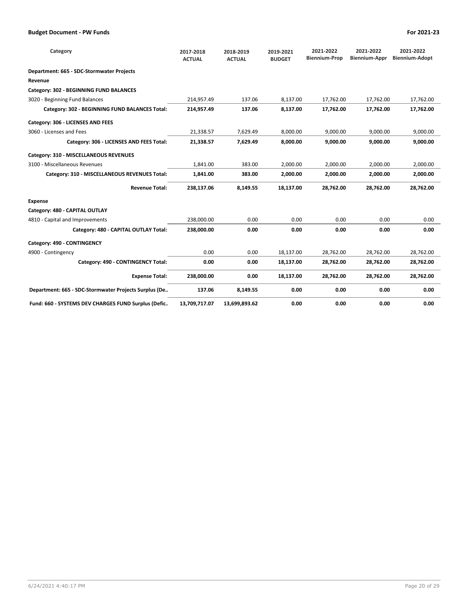| Category                                              | 2017-2018<br><b>ACTUAL</b> | 2018-2019<br><b>ACTUAL</b> | 2019-2021<br><b>BUDGET</b> | 2021-2022<br><b>Biennium-Prop</b> | 2021-2022<br><b>Biennium-Appr</b> | 2021-2022<br><b>Biennium-Adopt</b> |
|-------------------------------------------------------|----------------------------|----------------------------|----------------------------|-----------------------------------|-----------------------------------|------------------------------------|
| Department: 665 - SDC-Stormwater Projects             |                            |                            |                            |                                   |                                   |                                    |
| Revenue                                               |                            |                            |                            |                                   |                                   |                                    |
| Category: 302 - BEGINNING FUND BALANCES               |                            |                            |                            |                                   |                                   |                                    |
| 3020 - Beginning Fund Balances                        | 214,957.49                 | 137.06                     | 8,137.00                   | 17,762.00                         | 17,762.00                         | 17,762.00                          |
| Category: 302 - BEGINNING FUND BALANCES Total:        | 214,957.49                 | 137.06                     | 8,137.00                   | 17,762.00                         | 17,762.00                         | 17,762.00                          |
| Category: 306 - LICENSES AND FEES                     |                            |                            |                            |                                   |                                   |                                    |
| 3060 - Licenses and Fees                              | 21,338.57                  | 7,629.49                   | 8,000.00                   | 9,000.00                          | 9,000.00                          | 9,000.00                           |
| Category: 306 - LICENSES AND FEES Total:              | 21,338.57                  | 7,629.49                   | 8,000.00                   | 9,000.00                          | 9.000.00                          | 9,000.00                           |
| Category: 310 - MISCELLANEOUS REVENUES                |                            |                            |                            |                                   |                                   |                                    |
| 3100 - Miscellaneous Revenues                         | 1,841.00                   | 383.00                     | 2,000.00                   | 2.000.00                          | 2.000.00                          | 2,000.00                           |
| Category: 310 - MISCELLANEOUS REVENUES Total:         | 1,841.00                   | 383.00                     | 2,000.00                   | 2,000.00                          | 2,000.00                          | 2,000.00                           |
| <b>Revenue Total:</b>                                 | 238,137.06                 | 8,149.55                   | 18,137.00                  | 28,762.00                         | 28,762.00                         | 28,762.00                          |
| <b>Expense</b>                                        |                            |                            |                            |                                   |                                   |                                    |
| Category: 480 - CAPITAL OUTLAY                        |                            |                            |                            |                                   |                                   |                                    |
| 4810 - Capital and Improvements                       | 238,000.00                 | 0.00                       | 0.00                       | 0.00                              | 0.00                              | 0.00                               |
| Category: 480 - CAPITAL OUTLAY Total:                 | 238,000.00                 | 0.00                       | 0.00                       | 0.00                              | 0.00                              | 0.00                               |
| Category: 490 - CONTINGENCY                           |                            |                            |                            |                                   |                                   |                                    |
| 4900 - Contingency                                    | 0.00                       | 0.00                       | 18,137.00                  | 28,762.00                         | 28,762.00                         | 28.762.00                          |
| Category: 490 - CONTINGENCY Total:                    | 0.00                       | 0.00                       | 18,137.00                  | 28,762.00                         | 28,762.00                         | 28,762.00                          |
| <b>Expense Total:</b>                                 | 238,000.00                 | 0.00                       | 18,137.00                  | 28,762.00                         | 28,762.00                         | 28,762.00                          |
| Department: 665 - SDC-Stormwater Projects Surplus (De | 137.06                     | 8,149.55                   | 0.00                       | 0.00                              | 0.00                              | 0.00                               |
| Fund: 660 - SYSTEMS DEV CHARGES FUND Surplus (Defic   | 13,709,717.07              | 13,699,893.62              | 0.00                       | 0.00                              | 0.00                              | 0.00                               |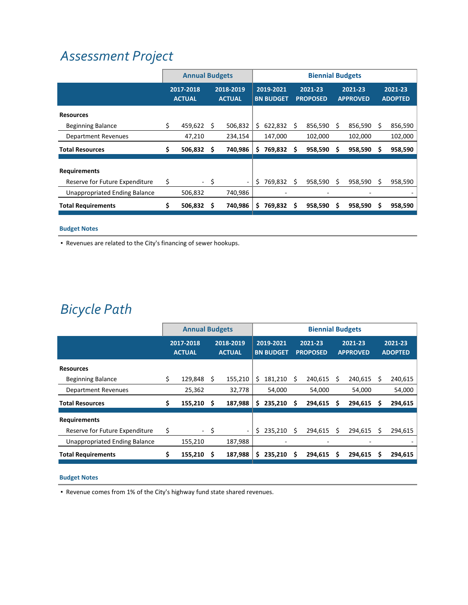## *[Assessment](http://www.ci.oswego.or.us/publicworks/sewer-service-verification-and-connection) Project*

|                                | <b>Annual Budgets</b>      |    |                            | <b>Biennial Budgets</b> |                               |   |                            |   |                            |   |                           |
|--------------------------------|----------------------------|----|----------------------------|-------------------------|-------------------------------|---|----------------------------|---|----------------------------|---|---------------------------|
|                                | 2017-2018<br><b>ACTUAL</b> |    | 2018-2019<br><b>ACTUAL</b> |                         | 2019-2021<br><b>BN BUDGET</b> |   | 2021-23<br><b>PROPOSED</b> |   | 2021-23<br><b>APPROVED</b> |   | 2021-23<br><b>ADOPTED</b> |
| <b>Resources</b>               |                            |    |                            |                         |                               |   |                            |   |                            |   |                           |
| <b>Beginning Balance</b>       | \$<br>459,622              | S  | 506.832                    | \$                      | 622.832                       | Ś | 856,590                    | Ś | 856,590                    | S | 856,590                   |
| <b>Department Revenues</b>     | 47,210                     |    | 234,154                    |                         | 147,000                       |   | 102,000                    |   | 102,000                    |   | 102,000                   |
| <b>Total Resources</b>         | \$<br>506,832              | s  | 740,986                    | S                       | 769,832                       | S | 958,590                    | s | 958,590                    | s | 958,590                   |
|                                |                            |    |                            |                         |                               |   |                            |   |                            |   |                           |
| <b>Requirements</b>            |                            |    |                            |                         |                               |   |                            |   |                            |   |                           |
| Reserve for Future Expenditure | \$<br>$\sim$ 100 $\mu$     | \$ | $\overline{\phantom{a}}$   | \$                      | 769,832                       | Ś | 958,590                    | Ś | 958,590                    | S | 958,590                   |
| Unappropriated Ending Balance  | 506,832                    |    | 740,986                    |                         | ۰                             |   |                            |   |                            |   |                           |
| <b>Total Requirements</b>      | \$<br>506,832              | S  | 740,986                    | S                       | 769,832                       | Ś | 958,590                    | S | 958,590                    | S | 958,590                   |

#### **Budget Notes**

▪ Revenues are related to the City's financing of sewer hookups.

## *[Bicycle](http://www.ci.oswego.or.us/engineering/traffic-and-bikepedestrian-counts-program) Path*

|                                | <b>Annual Budgets</b>      |     |                            | <b>Biennial Budgets</b> |                               |   |                            |   |                            |   |                           |
|--------------------------------|----------------------------|-----|----------------------------|-------------------------|-------------------------------|---|----------------------------|---|----------------------------|---|---------------------------|
|                                | 2017-2018<br><b>ACTUAL</b> |     | 2018-2019<br><b>ACTUAL</b> |                         | 2019-2021<br><b>BN BUDGET</b> |   | 2021-23<br><b>PROPOSED</b> |   | 2021-23<br><b>APPROVED</b> |   | 2021-23<br><b>ADOPTED</b> |
| <b>Resources</b>               |                            |     |                            |                         |                               |   |                            |   |                            |   |                           |
| <b>Beginning Balance</b>       | \$<br>129,848              | S   | 155,210                    | S                       | 181,210                       | S | 240,615                    | S | 240,615                    | s | 240,615                   |
| <b>Department Revenues</b>     | 25,362                     |     | 32,778                     |                         | 54,000                        |   | 54,000                     |   | 54,000                     |   | 54,000                    |
| <b>Total Resources</b>         | \$<br>155,210              | S   | 187,988                    | S                       | 235,210                       | S | 294,615                    | s | 294,615                    | s | 294,615                   |
| <b>Requirements</b>            |                            |     |                            |                         |                               |   |                            |   |                            |   |                           |
| Reserve for Future Expenditure | \$                         | -\$ | $\overline{\phantom{a}}$   | \$                      | 235,210                       | Ś | 294.615                    | Ś | 294.615                    | S | 294,615                   |
| Unappropriated Ending Balance  | 155,210                    |     | 187,988                    |                         |                               |   |                            |   |                            |   |                           |
| <b>Total Requirements</b>      | \$<br>155,210              | S   | 187,988                    | s                       | 235,210                       | Ś | 294,615                    | S | 294,615                    | s | 294,615                   |

#### **Budget Notes**

▪ Revenue comes from 1% of the City's highway fund state shared revenues.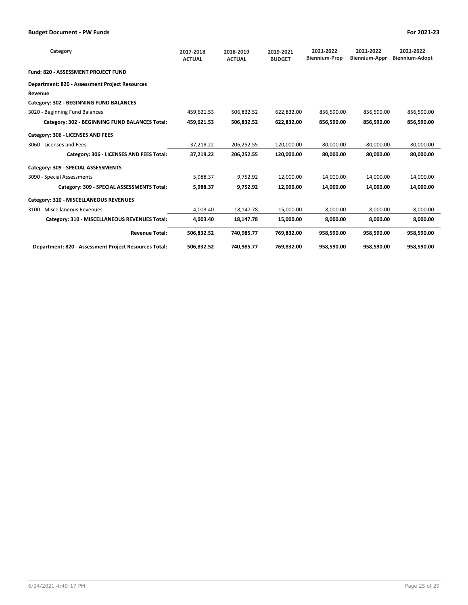| Category                                              | 2017-2018<br><b>ACTUAL</b> | 2018-2019<br><b>ACTUAL</b> | 2019-2021<br><b>BUDGET</b> | 2021-2022<br><b>Biennium-Prop</b> | 2021-2022<br><b>Biennium-Appr</b> | 2021-2022<br><b>Biennium-Adopt</b> |
|-------------------------------------------------------|----------------------------|----------------------------|----------------------------|-----------------------------------|-----------------------------------|------------------------------------|
| Fund: 820 - ASSESSMENT PROJECT FUND                   |                            |                            |                            |                                   |                                   |                                    |
| <b>Department: 820 - Assessment Project Resources</b> |                            |                            |                            |                                   |                                   |                                    |
| Revenue                                               |                            |                            |                            |                                   |                                   |                                    |
| Category: 302 - BEGINNING FUND BALANCES               |                            |                            |                            |                                   |                                   |                                    |
| 3020 - Beginning Fund Balances                        | 459,621.53                 | 506,832.52                 | 622,832.00                 | 856,590.00                        | 856,590.00                        | 856,590.00                         |
| Category: 302 - BEGINNING FUND BALANCES Total:        | 459,621.53                 | 506,832.52                 | 622,832.00                 | 856,590.00                        | 856.590.00                        | 856,590.00                         |
| Category: 306 - LICENSES AND FEES                     |                            |                            |                            |                                   |                                   |                                    |
| 3060 - Licenses and Fees                              | 37,219.22                  | 206,252.55                 | 120,000.00                 | 80.000.00                         | 80,000.00                         | 80,000.00                          |
| Category: 306 - LICENSES AND FEES Total:              | 37,219.22                  | 206,252.55                 | 120,000.00                 | 80,000.00                         | 80,000.00                         | 80,000.00                          |
| Category: 309 - SPECIAL ASSESSMENTS                   |                            |                            |                            |                                   |                                   |                                    |
| 3090 - Special Assessments                            | 5,988.37                   | 9,752.92                   | 12,000.00                  | 14,000.00                         | 14,000.00                         | 14,000.00                          |
| Category: 309 - SPECIAL ASSESSMENTS Total:            | 5,988.37                   | 9,752.92                   | 12,000.00                  | 14,000.00                         | 14,000.00                         | 14,000.00                          |
| Category: 310 - MISCELLANEOUS REVENUES                |                            |                            |                            |                                   |                                   |                                    |
| 3100 - Miscellaneous Revenues                         | 4,003.40                   | 18,147.78                  | 15,000.00                  | 8,000.00                          | 8,000.00                          | 8,000.00                           |
| Category: 310 - MISCELLANEOUS REVENUES Total:         | 4,003.40                   | 18,147.78                  | 15,000.00                  | 8,000.00                          | 8,000.00                          | 8,000.00                           |
| <b>Revenue Total:</b>                                 | 506,832.52                 | 740,985.77                 | 769,832.00                 | 958,590.00                        | 958,590.00                        | 958,590.00                         |
| Department: 820 - Assessment Project Resources Total: | 506,832.52                 | 740,985.77                 | 769,832.00                 | 958,590.00                        | 958,590.00                        | 958,590.00                         |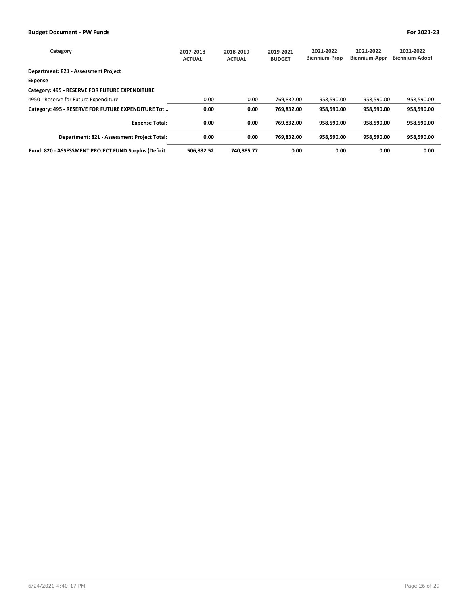| Category                                             | 2017-2018<br><b>ACTUAL</b> | 2018-2019<br><b>ACTUAL</b> | 2019-2021<br><b>BUDGET</b> | 2021-2022<br><b>Biennium-Prop</b> | 2021-2022<br><b>Biennium-Appr</b> | 2021-2022<br><b>Biennium-Adopt</b> |
|------------------------------------------------------|----------------------------|----------------------------|----------------------------|-----------------------------------|-----------------------------------|------------------------------------|
| Department: 821 - Assessment Project                 |                            |                            |                            |                                   |                                   |                                    |
| Expense                                              |                            |                            |                            |                                   |                                   |                                    |
| Category: 495 - RESERVE FOR FUTURE EXPENDITURE       |                            |                            |                            |                                   |                                   |                                    |
| 4950 - Reserve for Future Expenditure                | 0.00                       | 0.00                       | 769,832.00                 | 958,590.00                        | 958,590.00                        | 958,590.00                         |
| Category: 495 - RESERVE FOR FUTURE EXPENDITURE Tot   | 0.00                       | 0.00                       | 769.832.00                 | 958.590.00                        | 958.590.00                        | 958,590.00                         |
| <b>Expense Total:</b>                                | 0.00                       | 0.00                       | 769.832.00                 | 958.590.00                        | 958.590.00                        | 958,590.00                         |
| Department: 821 - Assessment Project Total:          | 0.00                       | 0.00                       | 769.832.00                 | 958.590.00                        | 958.590.00                        | 958,590.00                         |
| Fund: 820 - ASSESSMENT PROJECT FUND Surplus (Deficit | 506.832.52                 | 740.985.77                 | 0.00                       | 0.00                              | 0.00                              | 0.00                               |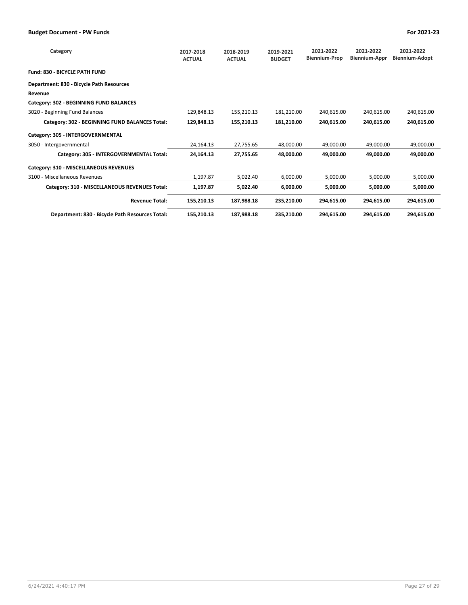| Category                                        | 2017-2018<br><b>ACTUAL</b> | 2018-2019<br><b>ACTUAL</b> | 2019-2021<br><b>BUDGET</b> | 2021-2022<br><b>Biennium-Prop</b> | 2021-2022<br>Biennium-Appr | 2021-2022<br><b>Biennium-Adopt</b> |
|-------------------------------------------------|----------------------------|----------------------------|----------------------------|-----------------------------------|----------------------------|------------------------------------|
| <b>Fund: 830 - BICYCLE PATH FUND</b>            |                            |                            |                            |                                   |                            |                                    |
| Department: 830 - Bicycle Path Resources        |                            |                            |                            |                                   |                            |                                    |
| Revenue                                         |                            |                            |                            |                                   |                            |                                    |
| Category: 302 - BEGINNING FUND BALANCES         |                            |                            |                            |                                   |                            |                                    |
| 3020 - Beginning Fund Balances                  | 129,848.13                 | 155,210.13                 | 181,210.00                 | 240,615.00                        | 240,615.00                 | 240,615.00                         |
| Category: 302 - BEGINNING FUND BALANCES Total:  | 129,848.13                 | 155,210.13                 | 181,210.00                 | 240,615.00                        | 240,615.00                 | 240,615.00                         |
| Category: 305 - INTERGOVERNMENTAL               |                            |                            |                            |                                   |                            |                                    |
| 3050 - Intergovernmental                        | 24,164.13                  | 27,755.65                  | 48,000.00                  | 49,000.00                         | 49,000.00                  | 49,000.00                          |
| Category: 305 - INTERGOVERNMENTAL Total:        | 24,164.13                  | 27,755.65                  | 48,000.00                  | 49,000.00                         | 49,000.00                  | 49,000.00                          |
| Category: 310 - MISCELLANEOUS REVENUES          |                            |                            |                            |                                   |                            |                                    |
| 3100 - Miscellaneous Revenues                   | 1,197.87                   | 5,022.40                   | 6,000.00                   | 5,000.00                          | 5,000.00                   | 5,000.00                           |
| Category: 310 - MISCELLANEOUS REVENUES Total:   | 1,197.87                   | 5,022.40                   | 6,000.00                   | 5,000.00                          | 5,000.00                   | 5,000.00                           |
| <b>Revenue Total:</b>                           | 155,210.13                 | 187,988.18                 | 235,210.00                 | 294,615.00                        | 294,615.00                 | 294,615.00                         |
| Department: 830 - Bicycle Path Resources Total: | 155,210.13                 | 187,988.18                 | 235,210.00                 | 294,615.00                        | 294,615.00                 | 294,615.00                         |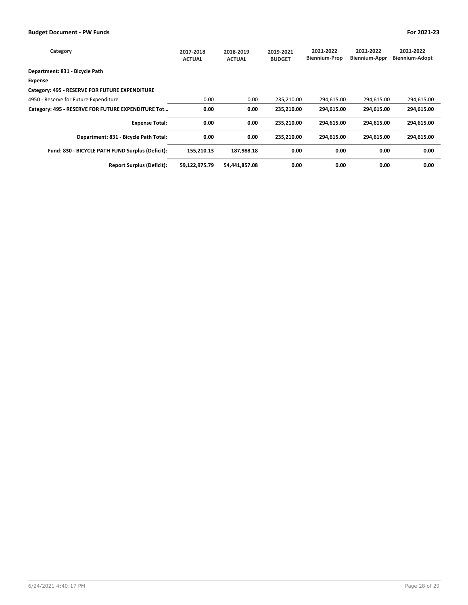| Category                                           | 2017-2018<br><b>ACTUAL</b> | 2018-2019<br><b>ACTUAL</b> | 2019-2021<br><b>BUDGET</b> | 2021-2022<br><b>Biennium-Prop</b> | 2021-2022<br><b>Biennium-Appr</b> | 2021-2022<br>Biennium-Adopt |
|----------------------------------------------------|----------------------------|----------------------------|----------------------------|-----------------------------------|-----------------------------------|-----------------------------|
| Department: 831 - Bicycle Path                     |                            |                            |                            |                                   |                                   |                             |
| <b>Expense</b>                                     |                            |                            |                            |                                   |                                   |                             |
| Category: 495 - RESERVE FOR FUTURE EXPENDITURE     |                            |                            |                            |                                   |                                   |                             |
| 4950 - Reserve for Future Expenditure              | 0.00                       | 0.00                       | 235,210.00                 | 294,615.00                        | 294,615.00                        | 294,615.00                  |
| Category: 495 - RESERVE FOR FUTURE EXPENDITURE Tot | 0.00                       | 0.00                       | 235,210.00                 | 294.615.00                        | 294.615.00                        | 294.615.00                  |
| <b>Expense Total:</b>                              | 0.00                       | 0.00                       | 235,210.00                 | 294.615.00                        | 294.615.00                        | 294,615.00                  |
| Department: 831 - Bicycle Path Total:              | 0.00                       | 0.00                       | 235,210.00                 | 294.615.00                        | 294.615.00                        | 294,615.00                  |
| Fund: 830 - BICYCLE PATH FUND Surplus (Deficit):   | 155,210.13                 | 187,988.18                 | 0.00                       | 0.00                              | 0.00                              | 0.00                        |
| <b>Report Surplus (Deficit):</b>                   | 59,122,975.79              | 54,441,857.08              | 0.00                       | 0.00                              | 0.00                              | 0.00                        |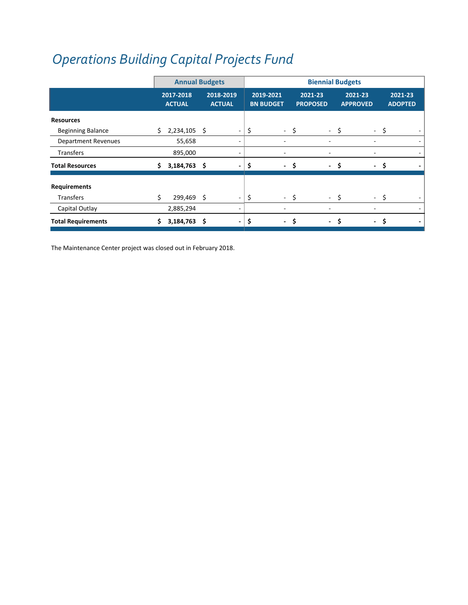# *[Operations](http://www.ci.oswego.or.us/publicworks/maintenance-center-project) Building Capital Projects Fund*

|                            |     | <b>Annual Budgets</b>      |   |                            |                                |      | <b>Biennial Budgets</b>    |                               |                           |
|----------------------------|-----|----------------------------|---|----------------------------|--------------------------------|------|----------------------------|-------------------------------|---------------------------|
|                            |     | 2017-2018<br><b>ACTUAL</b> |   | 2018-2019<br><b>ACTUAL</b> | 2019-2021<br><b>BN BUDGET</b>  |      | 2021-23<br><b>PROPOSED</b> | 2021-23<br><b>APPROVED</b>    | 2021-23<br><b>ADOPTED</b> |
| <b>Resources</b>           |     |                            |   |                            |                                |      |                            |                               |                           |
| <b>Beginning Balance</b>   | \$. | $2,234,105$ \$             |   |                            | \$                             | - \$ | - \$                       |                               | - \$                      |
| <b>Department Revenues</b> |     | 55,658                     |   | ٠                          |                                |      |                            |                               |                           |
| <b>Transfers</b>           |     | 895,000                    |   | ۰                          |                                |      |                            |                               |                           |
| <b>Total Resources</b>     | S.  | $3,184,763$ \$             |   |                            | \$                             | - \$ | $-$ \$                     |                               | - \$                      |
| <b>Requirements</b>        |     |                            |   |                            |                                |      |                            |                               |                           |
| <b>Transfers</b>           | \$  | 299,469 \$                 |   |                            | \$                             | - \$ | - \$                       |                               | - \$                      |
| Capital Outlay             |     | 2,885,294                  |   |                            |                                |      |                            |                               |                           |
| <b>Total Requirements</b>  |     | 3,184,763                  | Ŝ |                            | \$<br>$\overline{\phantom{0}}$ | \$   | $\overline{\phantom{0}}$   | Ś<br>$\overline{\phantom{0}}$ | \$                        |

The Maintenance Center project was closed out in February 2018.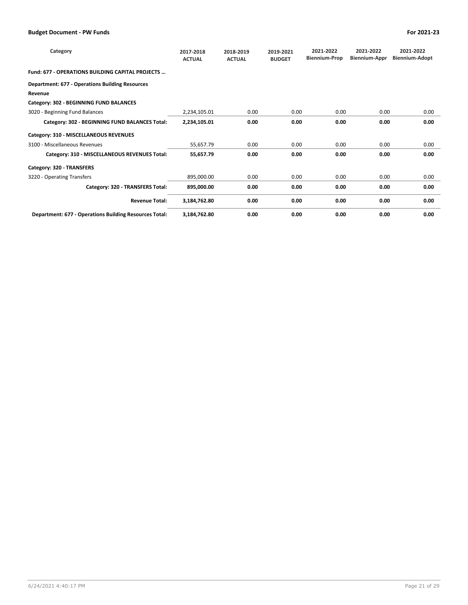| Category                                                      | 2017-2018<br><b>ACTUAL</b> | 2018-2019<br><b>ACTUAL</b> | 2019-2021<br><b>BUDGET</b> | 2021-2022<br><b>Biennium-Prop</b> | 2021-2022<br>Biennium-Appr | 2021-2022<br><b>Biennium-Adopt</b> |
|---------------------------------------------------------------|----------------------------|----------------------------|----------------------------|-----------------------------------|----------------------------|------------------------------------|
| <b>Fund: 677 - OPERATIONS BUILDING CAPITAL PROJECTS </b>      |                            |                            |                            |                                   |                            |                                    |
| <b>Department: 677 - Operations Building Resources</b>        |                            |                            |                            |                                   |                            |                                    |
| Revenue                                                       |                            |                            |                            |                                   |                            |                                    |
| Category: 302 - BEGINNING FUND BALANCES                       |                            |                            |                            |                                   |                            |                                    |
| 3020 - Beginning Fund Balances                                | 2,234,105.01               | 0.00                       | 0.00                       | 0.00                              | 0.00                       | 0.00                               |
| Category: 302 - BEGINNING FUND BALANCES Total:                | 2,234,105.01               | 0.00                       | 0.00                       | 0.00                              | 0.00                       | 0.00                               |
| Category: 310 - MISCELLANEOUS REVENUES                        |                            |                            |                            |                                   |                            |                                    |
| 3100 - Miscellaneous Revenues                                 | 55,657.79                  | 0.00                       | 0.00                       | 0.00                              | 0.00                       | 0.00                               |
| Category: 310 - MISCELLANEOUS REVENUES Total:                 | 55,657.79                  | 0.00                       | 0.00                       | 0.00                              | 0.00                       | 0.00                               |
| Category: 320 - TRANSFERS                                     |                            |                            |                            |                                   |                            |                                    |
| 3220 - Operating Transfers                                    | 895,000.00                 | 0.00                       | 0.00                       | 0.00                              | 0.00                       | 0.00                               |
| Category: 320 - TRANSFERS Total:                              | 895,000.00                 | 0.00                       | 0.00                       | 0.00                              | 0.00                       | 0.00                               |
| <b>Revenue Total:</b>                                         | 3,184,762.80               | 0.00                       | 0.00                       | 0.00                              | 0.00                       | 0.00                               |
| <b>Department: 677 - Operations Building Resources Total:</b> | 3,184,762.80               | 0.00                       | 0.00                       | 0.00                              | 0.00                       | 0.00                               |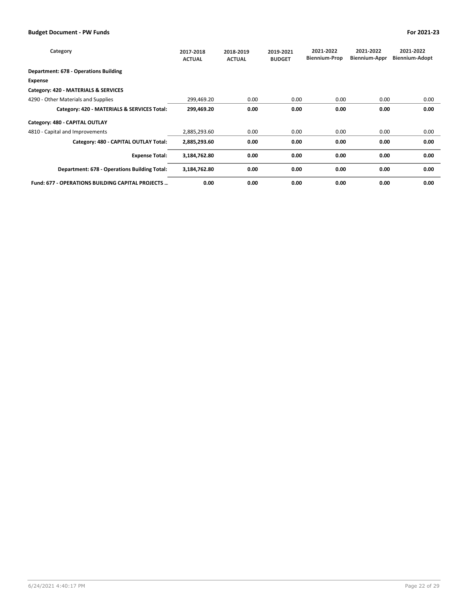| Category                                                 | 2017-2018<br><b>ACTUAL</b> | 2018-2019<br><b>ACTUAL</b> | 2019-2021<br><b>BUDGET</b> | 2021-2022<br><b>Biennium-Prop</b> | 2021-2022<br><b>Biennium-Appr</b> | 2021-2022<br><b>Biennium-Adopt</b> |
|----------------------------------------------------------|----------------------------|----------------------------|----------------------------|-----------------------------------|-----------------------------------|------------------------------------|
| <b>Department: 678 - Operations Building</b>             |                            |                            |                            |                                   |                                   |                                    |
| <b>Expense</b>                                           |                            |                            |                            |                                   |                                   |                                    |
| Category: 420 - MATERIALS & SERVICES                     |                            |                            |                            |                                   |                                   |                                    |
| 4290 - Other Materials and Supplies                      | 299,469.20                 | 0.00                       | 0.00                       | 0.00                              | 0.00                              | 0.00                               |
| Category: 420 - MATERIALS & SERVICES Total:              | 299,469.20                 | 0.00                       | 0.00                       | 0.00                              | 0.00                              | 0.00                               |
| Category: 480 - CAPITAL OUTLAY                           |                            |                            |                            |                                   |                                   |                                    |
| 4810 - Capital and Improvements                          | 2,885,293.60               | 0.00                       | 0.00                       | 0.00                              | 0.00                              | 0.00                               |
| Category: 480 - CAPITAL OUTLAY Total:                    | 2,885,293.60               | 0.00                       | 0.00                       | 0.00                              | 0.00                              | 0.00                               |
| <b>Expense Total:</b>                                    | 3,184,762.80               | 0.00                       | 0.00                       | 0.00                              | 0.00                              | 0.00                               |
| Department: 678 - Operations Building Total:             | 3,184,762.80               | 0.00                       | 0.00                       | 0.00                              | 0.00                              | 0.00                               |
| <b>Fund: 677 - OPERATIONS BUILDING CAPITAL PROJECTS </b> | 0.00                       | 0.00                       | 0.00                       | 0.00                              | 0.00                              | 0.00                               |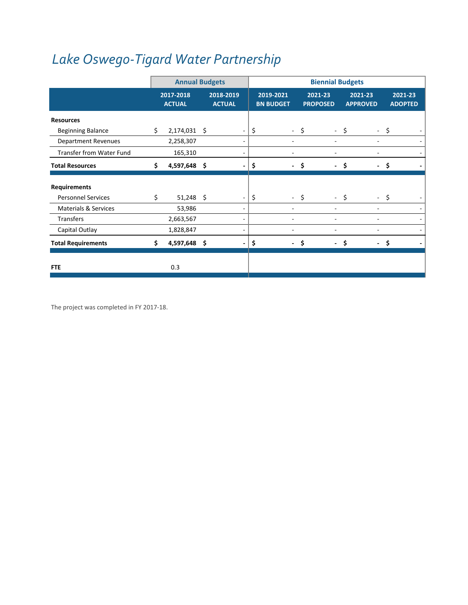# *Lake Oswego‐Tigard Water [Partnership](http://www.lotigardwater.org/)*

|                                 |    |                            | <b>Annual Budgets</b> |                            |    | <b>Biennial Budgets</b>       |      |                            |      |                            |      |                           |
|---------------------------------|----|----------------------------|-----------------------|----------------------------|----|-------------------------------|------|----------------------------|------|----------------------------|------|---------------------------|
|                                 |    | 2017-2018<br><b>ACTUAL</b> |                       | 2018-2019<br><b>ACTUAL</b> |    | 2019-2021<br><b>BN BUDGET</b> |      | 2021-23<br><b>PROPOSED</b> |      | 2021-23<br><b>APPROVED</b> |      | 2021-23<br><b>ADOPTED</b> |
| <b>Resources</b>                |    |                            |                       |                            |    |                               |      |                            |      |                            |      |                           |
| <b>Beginning Balance</b>        | \$ | 2,174,031 \$               |                       |                            | \$ |                               | - \$ |                            | - \$ |                            | - \$ |                           |
| <b>Department Revenues</b>      |    | 2,258,307                  |                       |                            |    |                               |      |                            |      |                            |      |                           |
| Transfer from Water Fund        |    | 165,310                    |                       |                            |    |                               |      |                            |      |                            |      |                           |
| <b>Total Resources</b>          | Ś. | 4,597,648 \$               |                       |                            | \$ | $\overline{\phantom{a}}$      | Ś.   | $\overline{\phantom{0}}$   | \$   | $\overline{\phantom{0}}$   |      | Ŝ.                        |
| <b>Requirements</b>             |    |                            |                       |                            |    |                               |      |                            |      |                            |      |                           |
| <b>Personnel Services</b>       | \$ | $51,248$ \$                |                       |                            | \$ |                               | - \$ |                            | - \$ |                            | - \$ |                           |
| <b>Materials &amp; Services</b> |    | 53,986                     |                       |                            |    |                               |      |                            |      |                            |      |                           |
| <b>Transfers</b>                |    | 2,663,567                  |                       |                            |    |                               |      |                            |      |                            |      |                           |
| Capital Outlay                  |    | 1,828,847                  |                       | ٠                          |    |                               |      |                            |      |                            |      | $\overline{\phantom{0}}$  |
| <b>Total Requirements</b>       | \$ | 4,597,648 \$               |                       |                            | \$ | ٠                             |      |                            | \$   | $\overline{\phantom{0}}$   |      | Ś.                        |
| <b>FTE</b>                      |    | 0.3                        |                       |                            |    |                               |      |                            |      |                            |      |                           |

The project was completed in FY 2017‐18.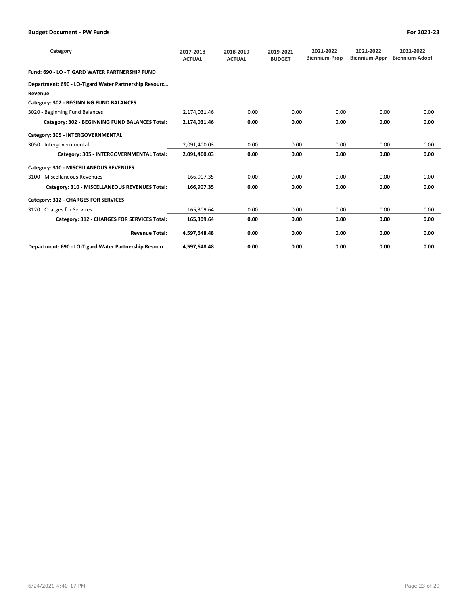| Category                                              | 2017-2018<br><b>ACTUAL</b> | 2018-2019<br><b>ACTUAL</b> | 2019-2021<br><b>BUDGET</b> | 2021-2022<br><b>Biennium-Prop</b> | 2021-2022<br><b>Biennium-Appr</b> | 2021-2022<br><b>Biennium-Adopt</b> |
|-------------------------------------------------------|----------------------------|----------------------------|----------------------------|-----------------------------------|-----------------------------------|------------------------------------|
| Fund: 690 - LO - TIGARD WATER PARTNERSHIP FUND        |                            |                            |                            |                                   |                                   |                                    |
| Department: 690 - LO-Tigard Water Partnership Resourc |                            |                            |                            |                                   |                                   |                                    |
| Revenue                                               |                            |                            |                            |                                   |                                   |                                    |
| Category: 302 - BEGINNING FUND BALANCES               |                            |                            |                            |                                   |                                   |                                    |
| 3020 - Beginning Fund Balances                        | 2,174,031.46               | 0.00                       | 0.00                       | 0.00                              | 0.00                              | 0.00                               |
| Category: 302 - BEGINNING FUND BALANCES Total:        | 2,174,031.46               | 0.00                       | 0.00                       | 0.00                              | 0.00                              | 0.00                               |
| Category: 305 - INTERGOVERNMENTAL                     |                            |                            |                            |                                   |                                   |                                    |
| 3050 - Intergovernmental                              | 2,091,400.03               | 0.00                       | 0.00                       | 0.00                              | 0.00                              | 0.00                               |
| Category: 305 - INTERGOVERNMENTAL Total:              | 2,091,400.03               | 0.00                       | 0.00                       | 0.00                              | 0.00                              | 0.00                               |
| Category: 310 - MISCELLANEOUS REVENUES                |                            |                            |                            |                                   |                                   |                                    |
| 3100 - Miscellaneous Revenues                         | 166,907.35                 | 0.00                       | 0.00                       | 0.00                              | 0.00                              | 0.00                               |
| Category: 310 - MISCELLANEOUS REVENUES Total:         | 166,907.35                 | 0.00                       | 0.00                       | 0.00                              | 0.00                              | 0.00                               |
| Category: 312 - CHARGES FOR SERVICES                  |                            |                            |                            |                                   |                                   |                                    |
| 3120 - Charges for Services                           | 165.309.64                 | 0.00                       | 0.00                       | 0.00                              | 0.00                              | 0.00                               |
| Category: 312 - CHARGES FOR SERVICES Total:           | 165,309.64                 | 0.00                       | 0.00                       | 0.00                              | 0.00                              | 0.00                               |
| <b>Revenue Total:</b>                                 | 4,597,648.48               | 0.00                       | 0.00                       | 0.00                              | 0.00                              | 0.00                               |
| Department: 690 - LO-Tigard Water Partnership Resourc | 4.597.648.48               | 0.00                       | 0.00                       | 0.00                              | 0.00                              | 0.00                               |